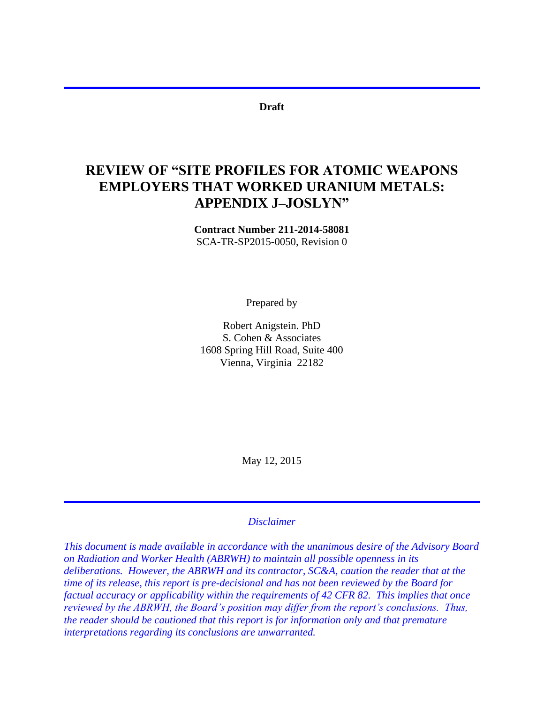#### **Draft**

# **REVIEW OF "SITE PROFILES FOR ATOMIC WEAPONS EMPLOYERS THAT WORKED URANIUM METALS: APPENDIX J–JOSLYN"**

**Contract Number 211-2014-58081** SCA-TR-SP2015-0050, Revision 0

Prepared by

Robert Anigstein. PhD S. Cohen & Associates 1608 Spring Hill Road, Suite 400 Vienna, Virginia 22182

May 12, 2015

#### *Disclaimer*

*This document is made available in accordance with the unanimous desire of the Advisory Board on Radiation and Worker Health (ABRWH) to maintain all possible openness in its deliberations. However, the ABRWH and its contractor, SC&A, caution the reader that at the time of its release, this report is pre-decisional and has not been reviewed by the Board for factual accuracy or applicability within the requirements of 42 CFR 82. This implies that once reviewed by the ABRWH, the Board's position may differ from the report's conclusions. Thus, the reader should be cautioned that this report is for information only and that premature interpretations regarding its conclusions are unwarranted.*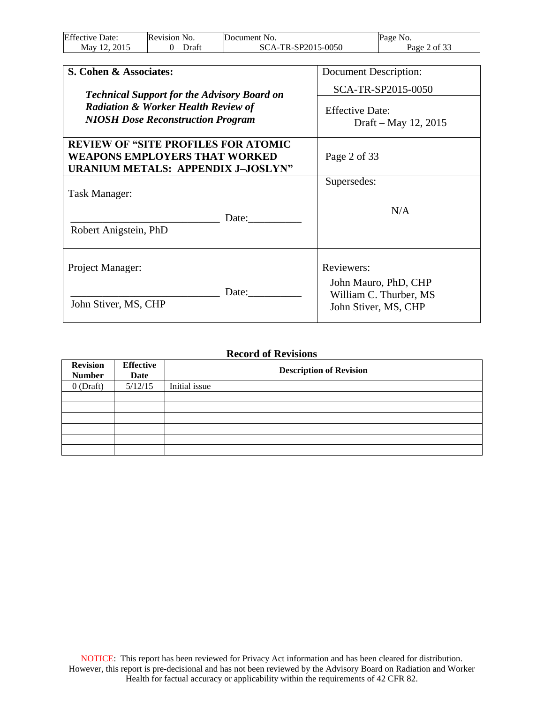| <b>Effective Date:</b> | <b>Revision No.</b> | Document No.       | Page No.     |
|------------------------|---------------------|--------------------|--------------|
| Mav 12. 2015           | Draft               | SCA-TR-SP2015-0050 | Page 2 of 33 |

| S. Cohen & Associates:                                                                                                   | Document Description:                          |
|--------------------------------------------------------------------------------------------------------------------------|------------------------------------------------|
| <b>Technical Support for the Advisory Board on</b>                                                                       | SCA-TR-SP2015-0050                             |
| <b>Radiation &amp; Worker Health Review of</b><br><b>NIOSH Dose Reconstruction Program</b>                               | <b>Effective Date:</b><br>Draft – May 12, 2015 |
| <b>REVIEW OF "SITE PROFILES FOR ATOMIC</b><br><b>WEAPONS EMPLOYERS THAT WORKED</b><br>URANIUM METALS: APPENDIX J-JOSLYN" | Page 2 of 33                                   |
|                                                                                                                          | Supersedes:                                    |
| Task Manager:<br>Date:<br>Robert Anigstein, PhD                                                                          | N/A                                            |
| Project Manager:                                                                                                         | Reviewers:<br>John Mauro, PhD, CHP             |
| Date:<br>John Stiver, MS, CHP                                                                                            | William C. Thurber, MS<br>John Stiver, MS, CHP |

#### **Record of Revisions**

| <b>Revision</b><br><b>Number</b> | <b>Effective</b><br>Date | <b>Description of Revision</b> |
|----------------------------------|--------------------------|--------------------------------|
| $0$ (Draft)                      | 5/12/15                  | Initial issue                  |
|                                  |                          |                                |
|                                  |                          |                                |
|                                  |                          |                                |
|                                  |                          |                                |
|                                  |                          |                                |
|                                  |                          |                                |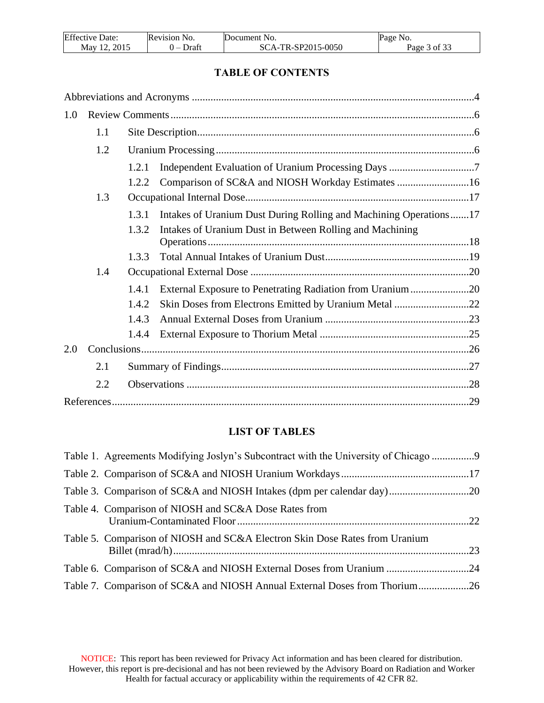| <b>Effective Date:</b> | Revision No. | Document No.       | Page No.     |
|------------------------|--------------|--------------------|--------------|
| May 12, 2015           | Draft        | SCA-TR-SP2015-0050 | Page 3 of 33 |

## **TABLE OF CONTENTS**

| 1.0 |     |       |                                                                   |  |
|-----|-----|-------|-------------------------------------------------------------------|--|
|     | 1.1 |       |                                                                   |  |
|     | 1.2 |       |                                                                   |  |
|     |     | 1.2.1 |                                                                   |  |
|     |     | 1.2.2 | Comparison of SC&A and NIOSH Workday Estimates 16                 |  |
|     | 1.3 |       |                                                                   |  |
|     |     | 1.3.1 | Intakes of Uranium Dust During Rolling and Machining Operations17 |  |
|     |     | 1.3.2 | Intakes of Uranium Dust in Between Rolling and Machining          |  |
|     |     | 1.3.3 |                                                                   |  |
|     | 1.4 |       |                                                                   |  |
|     |     | 1.4.1 | External Exposure to Penetrating Radiation from Uranium20         |  |
|     |     | 1.4.2 | Skin Doses from Electrons Emitted by Uranium Metal 22             |  |
|     |     | 1.4.3 |                                                                   |  |
|     |     | 1.4.4 |                                                                   |  |
| 2.0 |     |       |                                                                   |  |
|     | 2.1 |       |                                                                   |  |
|     | 2.2 |       |                                                                   |  |
|     |     |       |                                                                   |  |

# **LIST OF TABLES**

| Table 1. Agreements Modifying Joslyn's Subcontract with the University of Chicago |  |
|-----------------------------------------------------------------------------------|--|
|                                                                                   |  |
|                                                                                   |  |
| Table 4. Comparison of NIOSH and SC&A Dose Rates from                             |  |
| Table 5. Comparison of NIOSH and SC&A Electron Skin Dose Rates from Uranium       |  |
| Table 6. Comparison of SC&A and NIOSH External Doses from Uranium 24              |  |
| Table 7. Comparison of SC&A and NIOSH Annual External Doses from Thorium26        |  |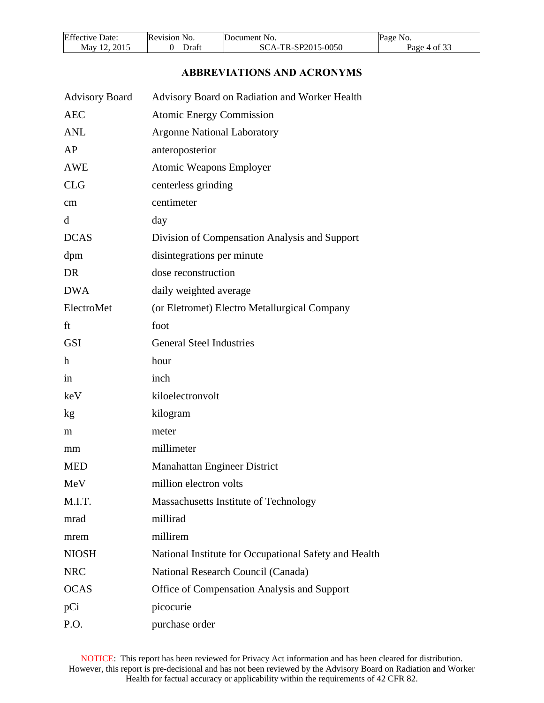| <b>Effective Date:</b> | Revision No. | Document No.       | Page No.     |
|------------------------|--------------|--------------------|--------------|
| 2015<br>Mav 12.        | Draft        | SCA-TR-SP2015-0050 | Page 4 of 33 |

# **ABBREVIATIONS AND ACRONYMS**

<span id="page-3-0"></span>

| <b>Advisory Board</b> | Advisory Board on Radiation and Worker Health         |
|-----------------------|-------------------------------------------------------|
| <b>AEC</b>            | <b>Atomic Energy Commission</b>                       |
| <b>ANL</b>            | <b>Argonne National Laboratory</b>                    |
| AP                    | anteroposterior                                       |
| <b>AWE</b>            | <b>Atomic Weapons Employer</b>                        |
| <b>CLG</b>            | centerless grinding                                   |
| cm                    | centimeter                                            |
| <sub>d</sub>          | day                                                   |
| <b>DCAS</b>           | Division of Compensation Analysis and Support         |
| dpm                   | disintegrations per minute                            |
| DR                    | dose reconstruction                                   |
| <b>DWA</b>            | daily weighted average                                |
| ElectroMet            | (or Eletromet) Electro Metallurgical Company          |
| ft                    | foot                                                  |
| <b>GSI</b>            | <b>General Steel Industries</b>                       |
| $\mathbf h$           | hour                                                  |
| in                    | inch                                                  |
| keV                   | kiloelectronvolt                                      |
| kg                    | kilogram                                              |
| m                     | meter                                                 |
| mm                    | millimeter                                            |
| <b>MED</b>            | <b>Manahattan Engineer District</b>                   |
| MeV                   | million electron volts                                |
| M.I.T.                | Massachusetts Institute of Technology                 |
| mrad                  | millirad                                              |
| mrem                  | millirem                                              |
| <b>NIOSH</b>          | National Institute for Occupational Safety and Health |
| <b>NRC</b>            | National Research Council (Canada)                    |
| <b>OCAS</b>           | Office of Compensation Analysis and Support           |
| pCi                   | picocurie                                             |
| P.O.                  | purchase order                                        |

NOTICE: This report has been reviewed for Privacy Act information and has been cleared for distribution. However, this report is pre-decisional and has not been reviewed by the Advisory Board on Radiation and Worker Health for factual accuracy or applicability within the requirements of 42 CFR 82.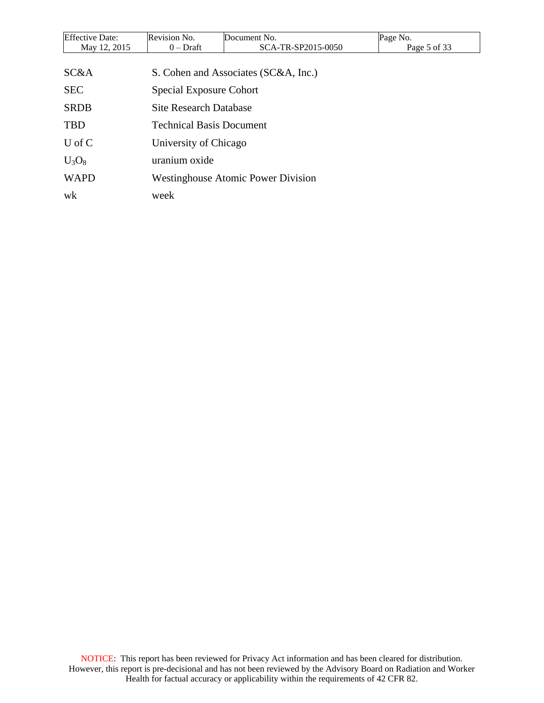| <b>Effective Date:</b> | Revision No.                              | Document No.                         | Page No.     |  |  |  |
|------------------------|-------------------------------------------|--------------------------------------|--------------|--|--|--|
| May 12, 2015           | $0$ – Draft                               | SCA-TR-SP2015-0050                   | Page 5 of 33 |  |  |  |
|                        |                                           |                                      |              |  |  |  |
| SC&A                   |                                           | S. Cohen and Associates (SC&A, Inc.) |              |  |  |  |
| <b>SEC</b>             |                                           | <b>Special Exposure Cohort</b>       |              |  |  |  |
| <b>SRDB</b>            | <b>Site Research Database</b>             |                                      |              |  |  |  |
| <b>TBD</b>             | <b>Technical Basis Document</b>           |                                      |              |  |  |  |
| $U$ of $C$             | University of Chicago                     |                                      |              |  |  |  |
| $U_3O_8$               | uranium oxide                             |                                      |              |  |  |  |
| <b>WAPD</b>            | <b>Westinghouse Atomic Power Division</b> |                                      |              |  |  |  |
| wk                     | week                                      |                                      |              |  |  |  |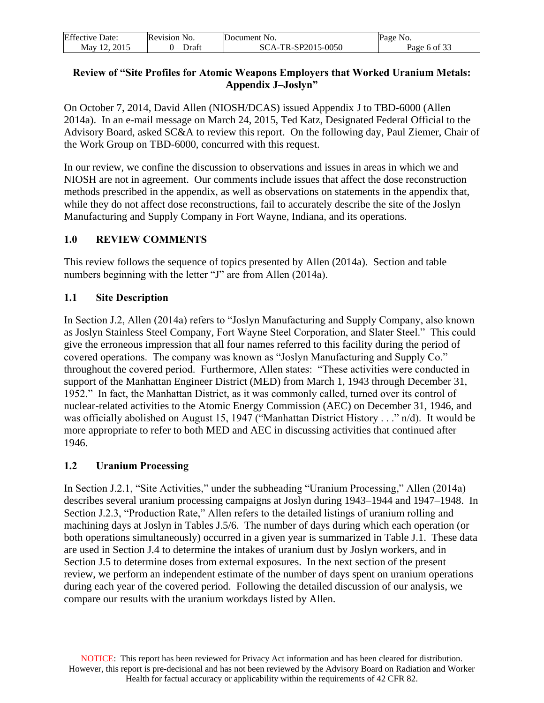| <b>Effective Date:</b> | Revision No.                      | Document No.       | Page No.     |
|------------------------|-----------------------------------|--------------------|--------------|
| 2015<br>May $12$       | Draft<br>$\overline{\phantom{0}}$ | SCA-TR-SP2015-0050 | Page 6 of 33 |

## **Review of "Site Profiles for Atomic Weapons Employers that Worked Uranium Metals: Appendix J–Joslyn"**

On October 7, 2014, David Allen (NIOSH/DCAS) issued Appendix J to TBD-6000 (Allen 2014a). In an e-mail message on March 24, 2015, Ted Katz, Designated Federal Official to the Advisory Board, asked SC&A to review this report. On the following day, Paul Ziemer, Chair of the Work Group on TBD-6000, concurred with this request.

In our review, we confine the discussion to observations and issues in areas in which we and NIOSH are not in agreement. Our comments include issues that affect the dose reconstruction methods prescribed in the appendix, as well as observations on statements in the appendix that, while they do not affect dose reconstructions, fail to accurately describe the site of the Joslyn Manufacturing and Supply Company in Fort Wayne, Indiana, and its operations.

## <span id="page-5-0"></span>**1.0 REVIEW COMMENTS**

This review follows the sequence of topics presented by Allen (2014a). Section and table numbers beginning with the letter "J" are from Allen (2014a).

# <span id="page-5-1"></span>**1.1 Site Description**

In Section J.2, Allen (2014a) refers to "Joslyn Manufacturing and Supply Company, also known as Joslyn Stainless Steel Company, Fort Wayne Steel Corporation, and Slater Steel." This could give the erroneous impression that all four names referred to this facility during the period of covered operations. The company was known as "Joslyn Manufacturing and Supply Co." throughout the covered period. Furthermore, Allen states: "These activities were conducted in support of the Manhattan Engineer District (MED) from March 1, 1943 through December 31, 1952." In fact, the Manhattan District, as it was commonly called, turned over its control of nuclear-related activities to the Atomic Energy Commission (AEC) on December 31, 1946, and was officially abolished on August 15, 1947 ("Manhattan District History . . ." n/d). It would be more appropriate to refer to both MED and AEC in discussing activities that continued after 1946.

# <span id="page-5-2"></span>**1.2 Uranium Processing**

In Section J.2.1, "Site Activities," under the subheading "Uranium Processing," Allen (2014a) describes several uranium processing campaigns at Joslyn during 1943–1944 and 1947–1948. In Section J.2.3, "Production Rate," Allen refers to the detailed listings of uranium rolling and machining days at Joslyn in Tables J.5/6. The number of days during which each operation (or both operations simultaneously) occurred in a given year is summarized in Table J.1. These data are used in Section J.4 to determine the intakes of uranium dust by Joslyn workers, and in Section J.5 to determine doses from external exposures. In the next section of the present review, we perform an independent estimate of the number of days spent on uranium operations during each year of the covered period. Following the detailed discussion of our analysis, we compare our results with the uranium workdays listed by Allen.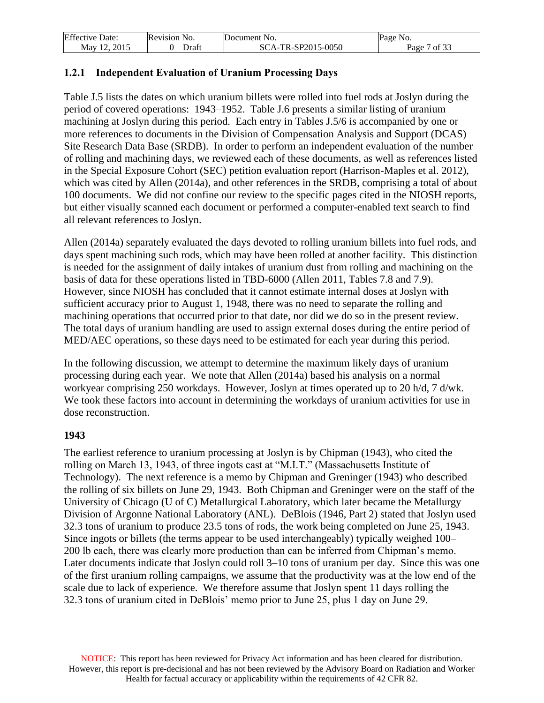| <b>Effective Date:</b> | Revision No. | Document No.       | Page No.      |
|------------------------|--------------|--------------------|---------------|
| 2015<br>Mav 12.        | Draft        | SCA-TR-SP2015-0050 | of 33<br>Page |

## <span id="page-6-0"></span>**1.2.1 Independent Evaluation of Uranium Processing Days**

Table J.5 lists the dates on which uranium billets were rolled into fuel rods at Joslyn during the period of covered operations: 1943–1952. Table J.6 presents a similar listing of uranium machining at Joslyn during this period. Each entry in Tables J.5/6 is accompanied by one or more references to documents in the Division of Compensation Analysis and Support (DCAS) Site Research Data Base (SRDB). In order to perform an independent evaluation of the number of rolling and machining days, we reviewed each of these documents, as well as references listed in the Special Exposure Cohort (SEC) petition evaluation report (Harrison-Maples et al. 2012), which was cited by Allen (2014a), and other references in the SRDB, comprising a total of about 100 documents. We did not confine our review to the specific pages cited in the NIOSH reports, but either visually scanned each document or performed a computer-enabled text search to find all relevant references to Joslyn.

Allen (2014a) separately evaluated the days devoted to rolling uranium billets into fuel rods, and days spent machining such rods, which may have been rolled at another facility. This distinction is needed for the assignment of daily intakes of uranium dust from rolling and machining on the basis of data for these operations listed in TBD-6000 (Allen 2011, Tables 7.8 and 7.9). However, since NIOSH has concluded that it cannot estimate internal doses at Joslyn with sufficient accuracy prior to August 1, 1948, there was no need to separate the rolling and machining operations that occurred prior to that date, nor did we do so in the present review. The total days of uranium handling are used to assign external doses during the entire period of MED/AEC operations, so these days need to be estimated for each year during this period.

In the following discussion, we attempt to determine the maximum likely days of uranium processing during each year. We note that Allen (2014a) based his analysis on a normal workyear comprising 250 workdays. However, Joslyn at times operated up to 20 h/d, 7 d/wk. We took these factors into account in determining the workdays of uranium activities for use in dose reconstruction.

## **1943**

The earliest reference to uranium processing at Joslyn is by Chipman (1943), who cited the rolling on March 13, 1943, of three ingots cast at "M.I.T." (Massachusetts Institute of Technology). The next reference is a memo by Chipman and Greninger (1943) who described the rolling of six billets on June 29, 1943. Both Chipman and Greninger were on the staff of the University of Chicago (U of C) Metallurgical Laboratory, which later became the Metallurgy Division of Argonne National Laboratory (ANL). DeBlois (1946, Part 2) stated that Joslyn used 32.3 tons of uranium to produce 23.5 tons of rods, the work being completed on June 25, 1943. Since ingots or billets (the terms appear to be used interchangeably) typically weighed 100– 200 lb each, there was clearly more production than can be inferred from Chipman's memo. Later documents indicate that Joslyn could roll 3–10 tons of uranium per day. Since this was one of the first uranium rolling campaigns, we assume that the productivity was at the low end of the scale due to lack of experience. We therefore assume that Joslyn spent 11 days rolling the 32.3 tons of uranium cited in DeBlois' memo prior to June 25, plus 1 day on June 29.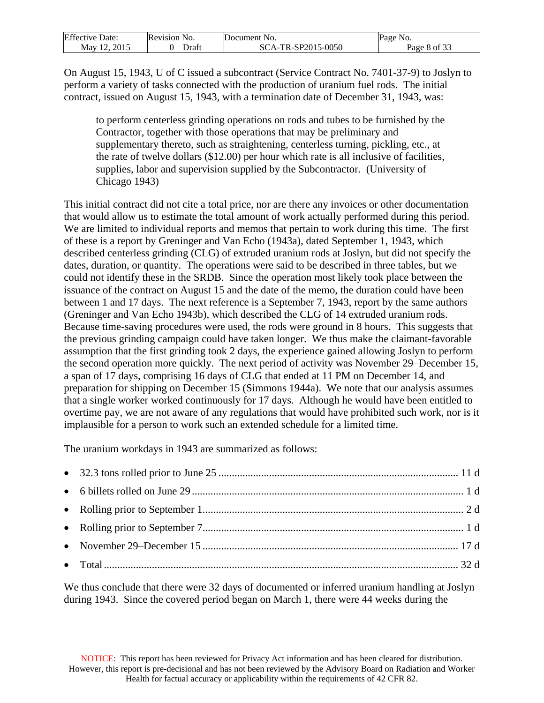| <b>Effective Date:</b> | Revision No. | Document No.       | Page No.     |
|------------------------|--------------|--------------------|--------------|
| 2015<br>May 12         | Draft        | SCA-TR-SP2015-0050 | Page 8 of 33 |

On August 15, 1943, U of C issued a subcontract (Service Contract No. 7401-37-9) to Joslyn to perform a variety of tasks connected with the production of uranium fuel rods. The initial contract, issued on August 15, 1943, with a termination date of December 31, 1943, was:

to perform centerless grinding operations on rods and tubes to be furnished by the Contractor, together with those operations that may be preliminary and supplementary thereto, such as straightening, centerless turning, pickling, etc., at the rate of twelve dollars (\$12.00) per hour which rate is all inclusive of facilities, supplies, labor and supervision supplied by the Subcontractor. (University of Chicago 1943)

This initial contract did not cite a total price, nor are there any invoices or other documentation that would allow us to estimate the total amount of work actually performed during this period. We are limited to individual reports and memos that pertain to work during this time. The first of these is a report by Greninger and Van Echo (1943a), dated September 1, 1943, which described centerless grinding (CLG) of extruded uranium rods at Joslyn, but did not specify the dates, duration, or quantity. The operations were said to be described in three tables, but we could not identify these in the SRDB. Since the operation most likely took place between the issuance of the contract on August 15 and the date of the memo, the duration could have been between 1 and 17 days. The next reference is a September 7, 1943, report by the same authors (Greninger and Van Echo 1943b), which described the CLG of 14 extruded uranium rods. Because time-saving procedures were used, the rods were ground in 8 hours. This suggests that the previous grinding campaign could have taken longer. We thus make the claimant-favorable assumption that the first grinding took 2 days, the experience gained allowing Joslyn to perform the second operation more quickly. The next period of activity was November 29–December 15, a span of 17 days, comprising 16 days of CLG that ended at 11 PM on December 14, and preparation for shipping on December 15 (Simmons 1944a). We note that our analysis assumes that a single worker worked continuously for 17 days. Although he would have been entitled to overtime pay, we are not aware of any regulations that would have prohibited such work, nor is it implausible for a person to work such an extended schedule for a limited time.

The uranium workdays in 1943 are summarized as follows:

We thus conclude that there were 32 days of documented or inferred uranium handling at Joslyn during 1943. Since the covered period began on March 1, there were 44 weeks during the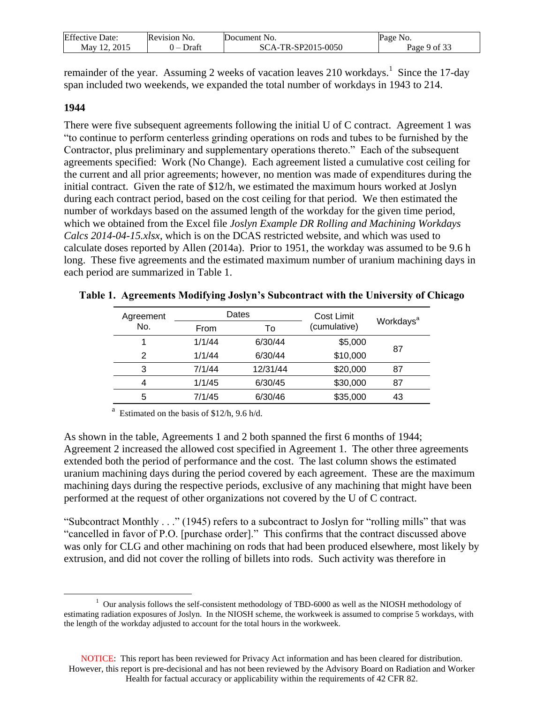| <b>Effective Date:</b> | Revision No. | Document No.       | Page No.     |
|------------------------|--------------|--------------------|--------------|
| May 12, 2015           | Draft        | SCA-TR-SP2015-0050 | Page 9 of 33 |

remainder of the year. Assuming 2 weeks of vacation leaves 210 workdays.<sup>1</sup> Since the 17-day span included two weekends, we expanded the total number of workdays in 1943 to 214.

#### **1944**

 $\overline{a}$ 

There were five subsequent agreements following the initial U of C contract. Agreement 1 was "to continue to perform centerless grinding operations on rods and tubes to be furnished by the Contractor, plus preliminary and supplementary operations thereto." Each of the subsequent agreements specified: Work (No Change). Each agreement listed a cumulative cost ceiling for the current and all prior agreements; however, no mention was made of expenditures during the initial contract. Given the rate of \$12/h, we estimated the maximum hours worked at Joslyn during each contract period, based on the cost ceiling for that period. We then estimated the number of workdays based on the assumed length of the workday for the given time period, which we obtained from the Excel file *Joslyn Example DR Rolling and Machining Workdays Calcs 2014-04-15.xlsx*, which is on the DCAS restricted website, and which was used to calculate doses reported by Allen (2014a). Prior to 1951, the workday was assumed to be 9.6 h long. These five agreements and the estimated maximum number of uranium machining days in each period are summarized in Table 1.

| Agreement     |        | Dates    | Cost Limit   |                       |
|---------------|--------|----------|--------------|-----------------------|
| No.           | From   | То       | (cumulative) | Workdays <sup>a</sup> |
|               | 1/1/44 | 6/30/44  | \$5,000      | 87                    |
| $\mathcal{P}$ | 1/1/44 | 6/30/44  | \$10,000     |                       |
| 3             | 7/1/44 | 12/31/44 | \$20,000     | 87                    |
| 4             | 1/1/45 | 6/30/45  | \$30,000     | 87                    |
| 5             | 7/1/45 | 6/30/46  | \$35,000     | 43                    |

<span id="page-8-0"></span>

|  |  | Table 1. Agreements Modifying Joslyn's Subcontract with the University of Chicago |  |
|--|--|-----------------------------------------------------------------------------------|--|
|  |  |                                                                                   |  |

<sup>a</sup> Estimated on the basis of \$12/h, 9.6 h/d.

As shown in the table, Agreements 1 and 2 both spanned the first 6 months of 1944; Agreement 2 increased the allowed cost specified in Agreement 1. The other three agreements extended both the period of performance and the cost. The last column shows the estimated uranium machining days during the period covered by each agreement. These are the maximum machining days during the respective periods, exclusive of any machining that might have been performed at the request of other organizations not covered by the U of C contract.

"Subcontract Monthly . . ." (1945) refers to a subcontract to Joslyn for "rolling mills" that was "cancelled in favor of P.O. [purchase order]." This confirms that the contract discussed above was only for CLG and other machining on rods that had been produced elsewhere, most likely by extrusion, and did not cover the rolling of billets into rods. Such activity was therefore in

<sup>&</sup>lt;sup>1</sup> Our analysis follows the self-consistent methodology of TBD-6000 as well as the NIOSH methodology of estimating radiation exposures of Joslyn. In the NIOSH scheme, the workweek is assumed to comprise 5 workdays, with the length of the workday adjusted to account for the total hours in the workweek.

NOTICE: This report has been reviewed for Privacy Act information and has been cleared for distribution. However, this report is pre-decisional and has not been reviewed by the Advisory Board on Radiation and Worker Health for factual accuracy or applicability within the requirements of 42 CFR 82.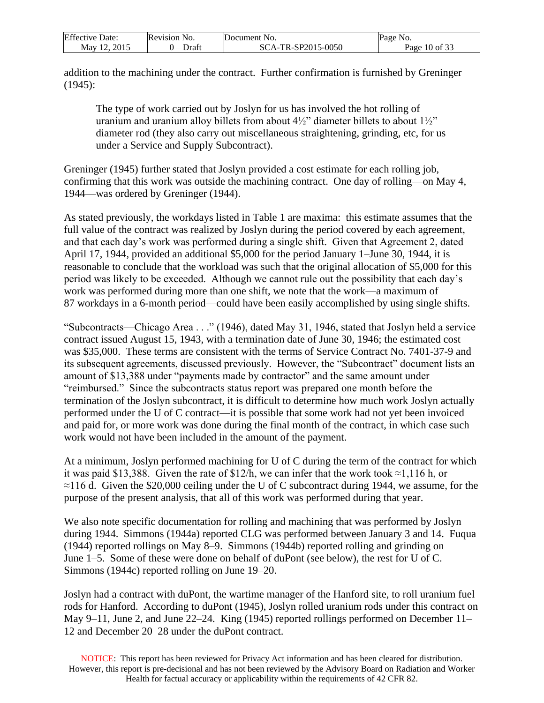| <b>Effective Date:</b> | Revision No. | Document No.       | Page No.        |
|------------------------|--------------|--------------------|-----------------|
| Mav 12. 2015           | Draft        | SCA-TR-SP2015-0050 | Page $10$ of 33 |

addition to the machining under the contract. Further confirmation is furnished by Greninger (1945):

The type of work carried out by Joslyn for us has involved the hot rolling of uranium and uranium alloy billets from about  $4\frac{1}{2}$ " diameter billets to about  $1\frac{1}{2}$ " diameter rod (they also carry out miscellaneous straightening, grinding, etc, for us under a Service and Supply Subcontract).

Greninger (1945) further stated that Joslyn provided a cost estimate for each rolling job, confirming that this work was outside the machining contract. One day of rolling—on May 4, 1944—was ordered by Greninger (1944).

As stated previously, the workdays listed in Table [1](Bookmark1#Generated) are maxima: this estimate assumes that the full value of the contract was realized by Joslyn during the period covered by each agreement, and that each day's work was performed during a single shift. Given that Agreement 2, dated April 17, 1944, provided an additional \$5,000 for the period January 1–June 30, 1944, it is reasonable to conclude that the workload was such that the original allocation of \$5,000 for this period was likely to be exceeded. Although we cannot rule out the possibility that each day's work was performed during more than one shift, we note that the work—a maximum of 87 workdays in a 6-month period—could have been easily accomplished by using single shifts.

"Subcontracts—Chicago Area . . ." (1946), dated May 31, 1946, stated that Joslyn held a service contract issued August 15, 1943, with a termination date of June 30, 1946; the estimated cost was \$35,000. These terms are consistent with the terms of Service Contract No. 7401-37-9 and its subsequent agreements, discussed previously. However, the "Subcontract" document lists an amount of \$13,388 under "payments made by contractor" and the same amount under "reimbursed." Since the subcontracts status report was prepared one month before the termination of the Joslyn subcontract, it is difficult to determine how much work Joslyn actually performed under the U of C contract—it is possible that some work had not yet been invoiced and paid for, or more work was done during the final month of the contract, in which case such work would not have been included in the amount of the payment.

At a minimum, Joslyn performed machining for U of C during the term of the contract for which it was paid \$13,388. Given the rate of \$12/h, we can infer that the work took  $\approx$ 1,116 h, or  $\approx$ 116 d. Given the \$20,000 ceiling under the U of C subcontract during 1944, we assume, for the purpose of the present analysis, that all of this work was performed during that year.

We also note specific documentation for rolling and machining that was performed by Joslyn during 1944. Simmons (1944a) reported CLG was performed between January 3 and 14. Fuqua (1944) reported rollings on May 8–9. Simmons (1944b) reported rolling and grinding on June 1–5. Some of these were done on behalf of duPont (see below), the rest for U of C. Simmons (1944c) reported rolling on June 19–20.

Joslyn had a contract with duPont, the wartime manager of the Hanford site, to roll uranium fuel rods for Hanford. According to duPont (1945), Joslyn rolled uranium rods under this contract on May 9–11, June 2, and June 22–24. King (1945) reported rollings performed on December 11– 12 and December 20–28 under the duPont contract.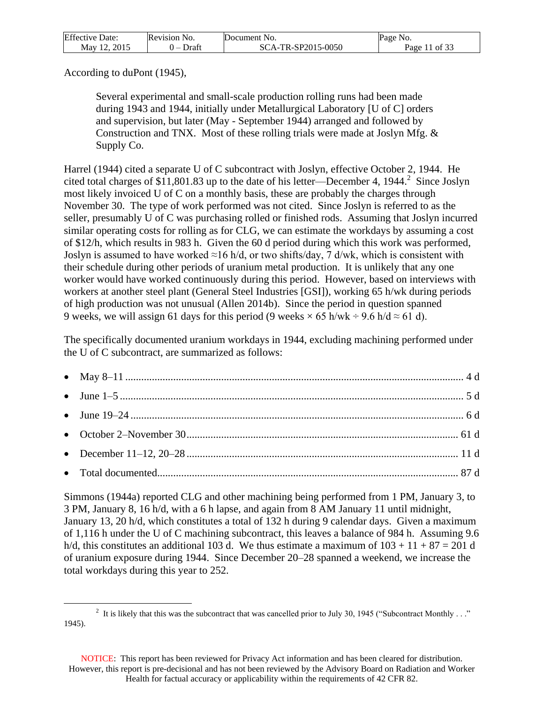| <b>Effective Date:</b> | Revision No.                      | Document No.       | Page No.      |
|------------------------|-----------------------------------|--------------------|---------------|
| Mav 12. 2015           | Draft<br>$\overline{\phantom{0}}$ | SCA-TR-SP2015-0050 | Page 11 of 33 |

According to duPont (1945),

 $\overline{a}$ 

Several experimental and small-scale production rolling runs had been made during 1943 and 1944, initially under Metallurgical Laboratory [U of C] orders and supervision, but later (May - September 1944) arranged and followed by Construction and TNX. Most of these rolling trials were made at Joslyn Mfg. & Supply Co.

Harrel (1944) cited a separate U of C subcontract with Joslyn, effective October 2, 1944. He cited total charges of \$11,801.83 up to the date of his letter—December 4, 1944.<sup>2</sup> Since Joslyn most likely invoiced U of C on a monthly basis, these are probably the charges through November 30. The type of work performed was not cited. Since Joslyn is referred to as the seller, presumably U of C was purchasing rolled or finished rods. Assuming that Joslyn incurred similar operating costs for rolling as for CLG, we can estimate the workdays by assuming a cost of \$12/h, which results in 983 h. Given the 60 d period during which this work was performed, Joslyn is assumed to have worked ≈16 h/d, or two shifts/day, 7 d/wk, which is consistent with their schedule during other periods of uranium metal production. It is unlikely that any one worker would have worked continuously during this period. However, based on interviews with workers at another steel plant (General Steel Industries [GSI]), working 65 h/wk during periods of high production was not unusual (Allen 2014b). Since the period in question spanned 9 weeks, we will assign 61 days for this period (9 weeks  $\times$  65 h/wk ÷ 9.6 h/d  $\approx$  61 d).

The specifically documented uranium workdays in 1944, excluding machining performed under the U of C subcontract, are summarized as follows:

Simmons (1944a) reported CLG and other machining being performed from 1 PM, January 3, to 3 PM, January 8, 16 h/d, with a 6 h lapse, and again from 8 AM January 11 until midnight, January 13, 20 h/d, which constitutes a total of 132 h during 9 calendar days. Given a maximum of 1,116 h under the U of C machining subcontract, this leaves a balance of 984 h. Assuming 9.6 h/d, this constitutes an additional 103 d. We thus estimate a maximum of  $103 + 11 + 87 = 201$  d of uranium exposure during 1944. Since December 20–28 spanned a weekend, we increase the total workdays during this year to 252.

<sup>&</sup>lt;sup>2</sup> It is likely that this was the subcontract that was cancelled prior to July 30, 1945 ("Subcontract Monthly ..." 1945).

NOTICE: This report has been reviewed for Privacy Act information and has been cleared for distribution. However, this report is pre-decisional and has not been reviewed by the Advisory Board on Radiation and Worker Health for factual accuracy or applicability within the requirements of 42 CFR 82.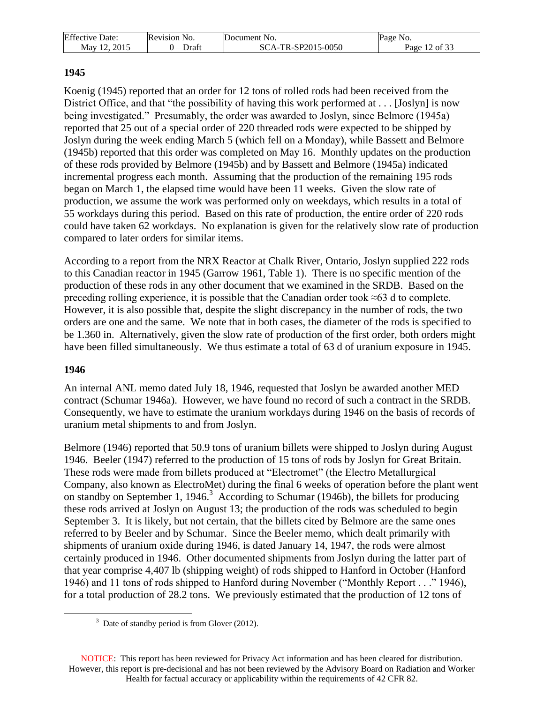| <b>Effective Date:</b> | Revision No. | Document No.       | Page No.      |
|------------------------|--------------|--------------------|---------------|
| May 12, 2015           | Draft        | SCA-TR-SP2015-0050 | Page 12 of 33 |

## **1945**

Koenig (1945) reported that an order for 12 tons of rolled rods had been received from the District Office, and that "the possibility of having this work performed at . . . [Joslyn] is now being investigated." Presumably, the order was awarded to Joslyn, since Belmore (1945a) reported that 25 out of a special order of 220 threaded rods were expected to be shipped by Joslyn during the week ending March 5 (which fell on a Monday), while Bassett and Belmore (1945b) reported that this order was completed on May 16. Monthly updates on the production of these rods provided by Belmore (1945b) and by Bassett and Belmore (1945a) indicated incremental progress each month. Assuming that the production of the remaining 195 rods began on March 1, the elapsed time would have been 11 weeks. Given the slow rate of production, we assume the work was performed only on weekdays, which results in a total of 55 workdays during this period. Based on this rate of production, the entire order of 220 rods could have taken 62 workdays. No explanation is given for the relatively slow rate of production compared to later orders for similar items.

According to a report from the NRX Reactor at Chalk River, Ontario, Joslyn supplied 222 rods to this Canadian reactor in 1945 (Garrow 1961, Table 1). There is no specific mention of the production of these rods in any other document that we examined in the SRDB. Based on the preceding rolling experience, it is possible that the Canadian order took  $\approx 63$  d to complete. However, it is also possible that, despite the slight discrepancy in the number of rods, the two orders are one and the same. We note that in both cases, the diameter of the rods is specified to be 1.360 in. Alternatively, given the slow rate of production of the first order, both orders might have been filled simultaneously. We thus estimate a total of 63 d of uranium exposure in 1945.

## **1946**

 $\overline{a}$ 

An internal ANL memo dated July 18, 1946, requested that Joslyn be awarded another MED contract (Schumar 1946a). However, we have found no record of such a contract in the SRDB. Consequently, we have to estimate the uranium workdays during 1946 on the basis of records of uranium metal shipments to and from Joslyn.

Belmore (1946) reported that 50.9 tons of uranium billets were shipped to Joslyn during August 1946. Beeler (1947) referred to the production of 15 tons of rods by Joslyn for Great Britain. These rods were made from billets produced at "Electromet" (the Electro Metallurgical Company, also known as ElectroMet) during the final 6 weeks of operation before the plant went on standby on September 1, 1946.<sup>3</sup> According to Schumar (1946b), the billets for producing these rods arrived at Joslyn on August 13; the production of the rods was scheduled to begin September 3. It is likely, but not certain, that the billets cited by Belmore are the same ones referred to by Beeler and by Schumar. Since the Beeler memo, which dealt primarily with shipments of uranium oxide during 1946, is dated January 14, 1947, the rods were almost certainly produced in 1946. Other documented shipments from Joslyn during the latter part of that year comprise 4,407 lb (shipping weight) of rods shipped to Hanford in October (Hanford 1946) and 11 tons of rods shipped to Hanford during November ("Monthly Report . . ." 1946), for a total production of 28.2 tons. We previously estimated that the production of 12 tons of

NOTICE: This report has been reviewed for Privacy Act information and has been cleared for distribution. However, this report is pre-decisional and has not been reviewed by the Advisory Board on Radiation and Worker Health for factual accuracy or applicability within the requirements of 42 CFR 82.

 $3$  Date of standby period is from Glover (2012).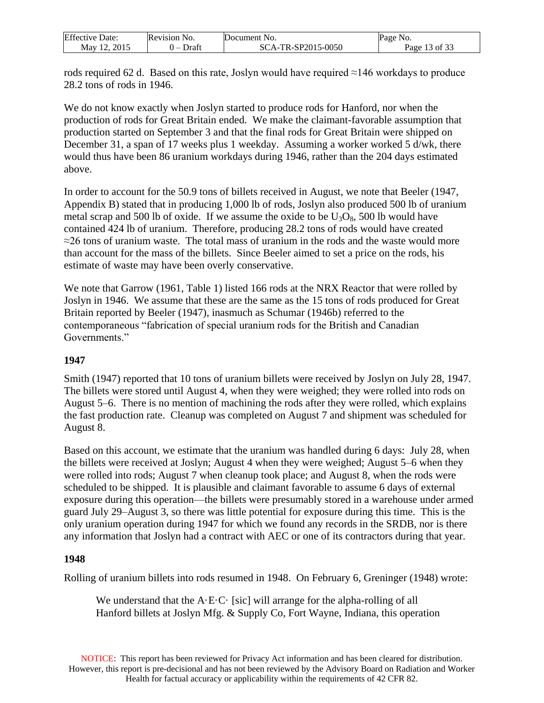| <b>Effective Date:</b> | Revision No.             | Document No.       | Page No. |
|------------------------|--------------------------|--------------------|----------|
| 2015                   | Draft                    | SCA-TR-SP2015-0050 | of $33$  |
| Mav 1                  | $\overline{\phantom{0}}$ |                    | Page     |

rods required 62 d. Based on this rate, Joslyn would have required ≈146 workdays to produce 28.2 tons of rods in 1946.

We do not know exactly when Joslyn started to produce rods for Hanford, nor when the production of rods for Great Britain ended. We make the claimant-favorable assumption that production started on September 3 and that the final rods for Great Britain were shipped on December 31, a span of 17 weeks plus 1 weekday. Assuming a worker worked 5 d/wk, there would thus have been 86 uranium workdays during 1946, rather than the 204 days estimated above.

In order to account for the 50.9 tons of billets received in August, we note that Beeler (1947, Appendix B) stated that in producing 1,000 lb of rods, Joslyn also produced 500 lb of uranium metal scrap and 500 lb of oxide. If we assume the oxide to be  $U_3O_8$ , 500 lb would have contained 424 lb of uranium. Therefore, producing 28.2 tons of rods would have created  $\approx$ 26 tons of uranium waste. The total mass of uranium in the rods and the waste would more than account for the mass of the billets. Since Beeler aimed to set a price on the rods, his estimate of waste may have been overly conservative.

We note that Garrow (1961, Table 1) listed 166 rods at the NRX Reactor that were rolled by Joslyn in 1946. We assume that these are the same as the 15 tons of rods produced for Great Britain reported by Beeler (1947), inasmuch as Schumar (1946b) referred to the contemporaneous "fabrication of special uranium rods for the British and Canadian Governments."

## **1947**

Smith (1947) reported that 10 tons of uranium billets were received by Joslyn on July 28, 1947. The billets were stored until August 4, when they were weighed; they were rolled into rods on August 5–6. There is no mention of machining the rods after they were rolled, which explains the fast production rate. Cleanup was completed on August 7 and shipment was scheduled for August 8.

Based on this account, we estimate that the uranium was handled during 6 days: July 28, when the billets were received at Joslyn; August 4 when they were weighed; August 5–6 when they were rolled into rods; August 7 when cleanup took place; and August 8, when the rods were scheduled to be shipped. It is plausible and claimant favorable to assume 6 days of external exposure during this operation—the billets were presumably stored in a warehouse under armed guard July 29–August 3, so there was little potential for exposure during this time. This is the only uranium operation during 1947 for which we found any records in the SRDB, nor is there any information that Joslyn had a contract with AEC or one of its contractors during that year.

#### **1948**

Rolling of uranium billets into rods resumed in 1948. On February 6, Greninger (1948) wrote:

We understand that the  $A \cdot E \cdot C \cdot$  [sic] will arrange for the alpha-rolling of all Hanford billets at Joslyn Mfg. & Supply Co, Fort Wayne, Indiana, this operation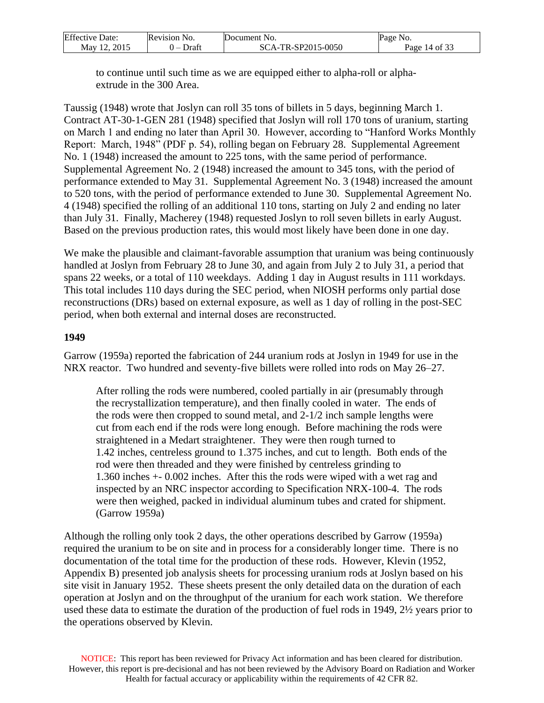| <b>Effective Date:</b> | Revision No. | Document No.       | Page No.      |
|------------------------|--------------|--------------------|---------------|
| 2015<br>May 12         | Draft<br>. – | SCA-TR-SP2015-0050 | Page 14 of 33 |

to continue until such time as we are equipped either to alpha-roll or alphaextrude in the 300 Area.

Taussig (1948) wrote that Joslyn can roll 35 tons of billets in 5 days, beginning March 1. Contract AT-30-1-GEN 281 (1948) specified that Joslyn will roll 170 tons of uranium, starting on March 1 and ending no later than April 30. However, according to "Hanford Works Monthly Report: March, 1948" (PDF p. 54), rolling began on February 28. Supplemental Agreement No. 1 (1948) increased the amount to 225 tons, with the same period of performance. Supplemental Agreement No. 2 (1948) increased the amount to 345 tons, with the period of performance extended to May 31. Supplemental Agreement No. 3 (1948) increased the amount to 520 tons, with the period of performance extended to June 30. Supplemental Agreement No. 4 (1948) specified the rolling of an additional 110 tons, starting on July 2 and ending no later than July 31. Finally, Macherey (1948) requested Joslyn to roll seven billets in early August. Based on the previous production rates, this would most likely have been done in one day.

We make the plausible and claimant-favorable assumption that uranium was being continuously handled at Joslyn from February 28 to June 30, and again from July 2 to July 31, a period that spans 22 weeks, or a total of 110 weekdays. Adding 1 day in August results in 111 workdays. This total includes 110 days during the SEC period, when NIOSH performs only partial dose reconstructions (DRs) based on external exposure, as well as 1 day of rolling in the post-SEC period, when both external and internal doses are reconstructed.

#### **1949**

Garrow (1959a) reported the fabrication of 244 uranium rods at Joslyn in 1949 for use in the NRX reactor. Two hundred and seventy-five billets were rolled into rods on May 26–27.

After rolling the rods were numbered, cooled partially in air (presumably through the recrystallization temperature), and then finally cooled in water. The ends of the rods were then cropped to sound metal, and 2-1/2 inch sample lengths were cut from each end if the rods were long enough. Before machining the rods were straightened in a Medart straightener. They were then rough turned to 1.42 inches, centreless ground to 1.375 inches, and cut to length. Both ends of the rod were then threaded and they were finished by centreless grinding to 1.360 inches +- 0.002 inches. After this the rods were wiped with a wet rag and inspected by an NRC inspector according to Specification NRX-100-4. The rods were then weighed, packed in individual aluminum tubes and crated for shipment. (Garrow 1959a)

Although the rolling only took 2 days, the other operations described by Garrow (1959a) required the uranium to be on site and in process for a considerably longer time. There is no documentation of the total time for the production of these rods. However, Klevin (1952, Appendix B) presented job analysis sheets for processing uranium rods at Joslyn based on his site visit in January 1952. These sheets present the only detailed data on the duration of each operation at Joslyn and on the throughput of the uranium for each work station. We therefore used these data to estimate the duration of the production of fuel rods in 1949, 2½ years prior to the operations observed by Klevin.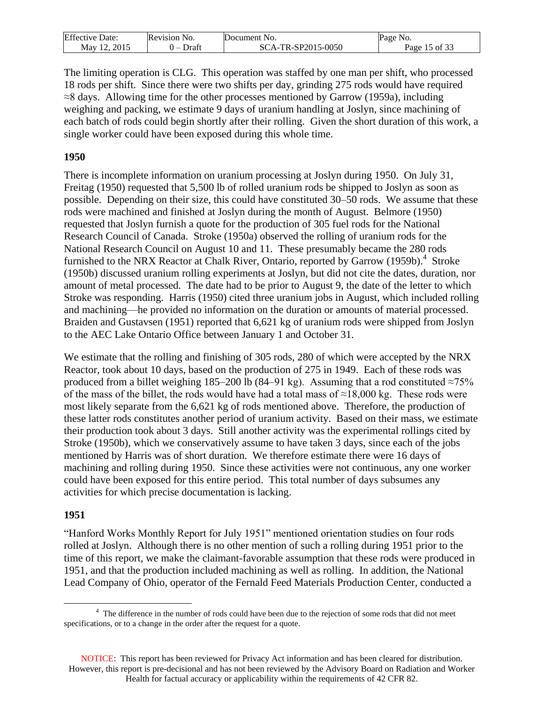| <b>Effective Date:</b> | <b>Revision No.</b> | Document No.       | Page No.                    |
|------------------------|---------------------|--------------------|-----------------------------|
| 2015<br>May $12$       | Draft               | SCA-TR-SP2015-0050 | $\frac{1}{1}$ of 33<br>Page |

The limiting operation is CLG. This operation was staffed by one man per shift, who processed 18 rods per shift. Since there were two shifts per day, grinding 275 rods would have required ≈8 days. Allowing time for the other processes mentioned by Garrow (1959a), including weighing and packing, we estimate 9 days of uranium handling at Joslyn, since machining of each batch of rods could begin shortly after their rolling. Given the short duration of this work, a single worker could have been exposed during this whole time.

#### **1950**

There is incomplete information on uranium processing at Joslyn during 1950. On July 31, Freitag (1950) requested that 5,500 lb of rolled uranium rods be shipped to Joslyn as soon as possible. Depending on their size, this could have constituted 30–50 rods. We assume that these rods were machined and finished at Joslyn during the month of August. Belmore (1950) requested that Joslyn furnish a quote for the production of 305 fuel rods for the National Research Council of Canada. Stroke (1950a) observed the rolling of uranium rods for the National Research Council on August 10 and 11. These presumably became the 280 rods furnished to the NRX Reactor at Chalk River, Ontario, reported by Garrow (1959b).<sup>4</sup> Stroke (1950b) discussed uranium rolling experiments at Joslyn, but did not cite the dates, duration, nor amount of metal processed. The date had to be prior to August 9, the date of the letter to which Stroke was responding. Harris (1950) cited three uranium jobs in August, which included rolling and machining—he provided no information on the duration or amounts of material processed. Braiden and Gustavsen (1951) reported that 6,621 kg of uranium rods were shipped from Joslyn to the AEC Lake Ontario Office between January 1 and October 31.

We estimate that the rolling and finishing of 305 rods, 280 of which were accepted by the NRX Reactor, took about 10 days, based on the production of 275 in 1949. Each of these rods was produced from a billet weighing 185–200 lb (84–91 kg). Assuming that a rod constituted ≈75% of the mass of the billet, the rods would have had a total mass of  $\approx$ 18,000 kg. These rods were most likely separate from the 6,621 kg of rods mentioned above. Therefore, the production of these latter rods constitutes another period of uranium activity. Based on their mass, we estimate their production took about 3 days. Still another activity was the experimental rollings cited by Stroke (1950b), which we conservatively assume to have taken 3 days, since each of the jobs mentioned by Harris was of short duration. We therefore estimate there were 16 days of machining and rolling during 1950. Since these activities were not continuous, any one worker could have been exposed for this entire period. This total number of days subsumes any activities for which precise documentation is lacking.

#### **1951**

 $\overline{a}$ 

"Hanford Works Monthly Report for July 1951" mentioned orientation studies on four rods rolled at Joslyn. Although there is no other mention of such a rolling during 1951 prior to the time of this report, we make the claimant-favorable assumption that these rods were produced in 1951, and that the production included machining as well as rolling. In addition, the National Lead Company of Ohio, operator of the Fernald Feed Materials Production Center, conducted a

<sup>&</sup>lt;sup>4</sup> The difference in the number of rods could have been due to the rejection of some rods that did not meet specifications, or to a change in the order after the request for a quote.

NOTICE: This report has been reviewed for Privacy Act information and has been cleared for distribution. However, this report is pre-decisional and has not been reviewed by the Advisory Board on Radiation and Worker Health for factual accuracy or applicability within the requirements of 42 CFR 82.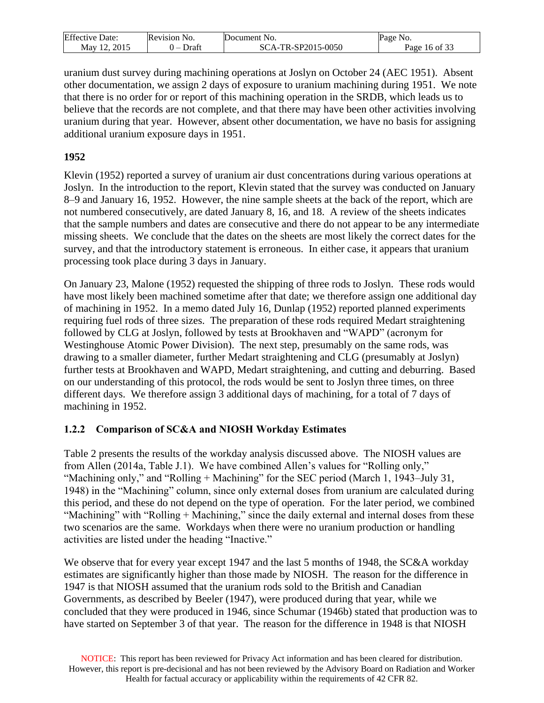| Effective   | <b>Revision</b> | Document                             | Page                    |
|-------------|-----------------|--------------------------------------|-------------------------|
| Jate:       | N <sub>O</sub>  | N <sub>O</sub>                       | NO.                     |
| 2015<br>May | Draft<br>. –    | SP2015-0050<br>SC.<br>`А - 1<br>7G-A | c oo<br>Ωt<br>Page<br>h |

uranium dust survey during machining operations at Joslyn on October 24 (AEC 1951). Absent other documentation, we assign 2 days of exposure to uranium machining during 1951. We note that there is no order for or report of this machining operation in the SRDB, which leads us to believe that the records are not complete, and that there may have been other activities involving uranium during that year. However, absent other documentation, we have no basis for assigning additional uranium exposure days in 1951.

## **1952**

Klevin (1952) reported a survey of uranium air dust concentrations during various operations at Joslyn. In the introduction to the report, Klevin stated that the survey was conducted on January 8–9 and January 16, 1952. However, the nine sample sheets at the back of the report, which are not numbered consecutively, are dated January 8, 16, and 18. A review of the sheets indicates that the sample numbers and dates are consecutive and there do not appear to be any intermediate missing sheets. We conclude that the dates on the sheets are most likely the correct dates for the survey, and that the introductory statement is erroneous. In either case, it appears that uranium processing took place during 3 days in January.

On January 23, Malone (1952) requested the shipping of three rods to Joslyn. These rods would have most likely been machined sometime after that date; we therefore assign one additional day of machining in 1952. In a memo dated July 16, Dunlap (1952) reported planned experiments requiring fuel rods of three sizes. The preparation of these rods required Medart straightening followed by CLG at Joslyn, followed by tests at Brookhaven and "WAPD" (acronym for Westinghouse Atomic Power Division). The next step, presumably on the same rods, was drawing to a smaller diameter, further Medart straightening and CLG (presumably at Joslyn) further tests at Brookhaven and WAPD, Medart straightening, and cutting and deburring. Based on our understanding of this protocol, the rods would be sent to Joslyn three times, on three different days. We therefore assign 3 additional days of machining, for a total of 7 days of machining in 1952.

## <span id="page-15-0"></span>**1.2.2 Comparison of SC&A and NIOSH Workday Estimates**

Table 2 presents the results of the workday analysis discussed above. The NIOSH values are from Allen (2014a, Table J.1). We have combined Allen's values for "Rolling only," "Machining only," and "Rolling + Machining" for the SEC period (March 1, 1943–July 31, 1948) in the "Machining" column, since only external doses from uranium are calculated during this period, and these do not depend on the type of operation. For the later period, we combined "Machining" with "Rolling + Machining," since the daily external and internal doses from these two scenarios are the same. Workdays when there were no uranium production or handling activities are listed under the heading "Inactive."

We observe that for every year except 1947 and the last 5 months of 1948, the SC&A workday estimates are significantly higher than those made by NIOSH. The reason for the difference in 1947 is that NIOSH assumed that the uranium rods sold to the British and Canadian Governments, as described by Beeler (1947), were produced during that year, while we concluded that they were produced in 1946, since Schumar (1946b) stated that production was to have started on September 3 of that year. The reason for the difference in 1948 is that NIOSH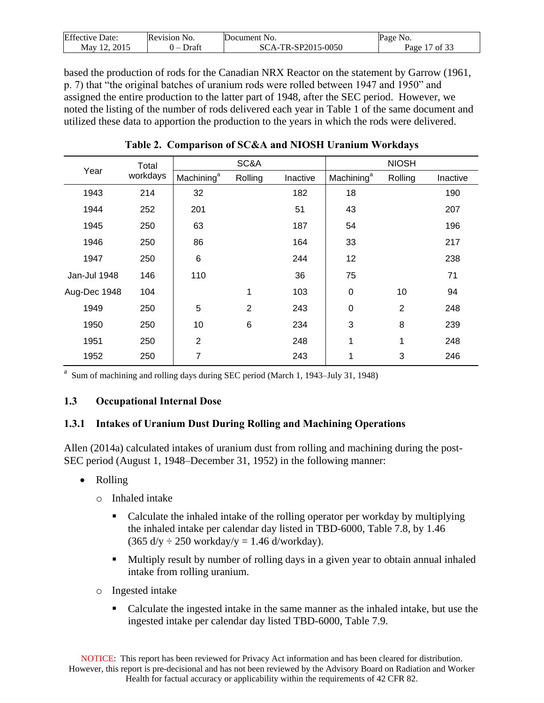| <b>Effective Date:</b> | Revision No. | Document<br>NO.               | Page<br>NO.            |
|------------------------|--------------|-------------------------------|------------------------|
| 2015<br>May            | Draft<br>_   | -TR-SP2015-0050<br>SC<br>'A-" | Page<br>$\prime$ of 3. |

based the production of rods for the Canadian NRX Reactor on the statement by Garrow (1961, p. 7) that "the original batches of uranium rods were rolled between 1947 and 1950" and assigned the entire production to the latter part of 1948, after the SEC period. However, we noted the listing of the number of rods delivered each year in Table 1 of the same document and utilized these data to apportion the production to the years in which the rods were delivered.

<span id="page-16-2"></span>

| Year         | Total    |                        | SC&A           |          |                        | <b>NIOSH</b>   |          |
|--------------|----------|------------------------|----------------|----------|------------------------|----------------|----------|
|              | workdays | Machining <sup>a</sup> | Rolling        | Inactive | Machining <sup>a</sup> | Rolling        | Inactive |
| 1943         | 214      | 32                     |                | 182      | 18                     |                | 190      |
| 1944         | 252      | 201                    |                | 51       | 43                     |                | 207      |
| 1945         | 250      | 63                     |                | 187      | 54                     |                | 196      |
| 1946         | 250      | 86                     |                | 164      | 33                     |                | 217      |
| 1947         | 250      | 6                      |                | 244      | 12                     |                | 238      |
| Jan-Jul 1948 | 146      | 110                    |                | 36       | 75                     |                | 71       |
| Aug-Dec 1948 | 104      |                        | 1              | 103      | $\pmb{0}$              | 10             | 94       |
| 1949         | 250      | 5                      | $\overline{2}$ | 243      | $\pmb{0}$              | $\overline{2}$ | 248      |
| 1950         | 250      | 10                     | 6              | 234      | 3                      | 8              | 239      |
| 1951         | 250      | $\overline{2}$         |                | 248      | 1                      | 1              | 248      |
| 1952         | 250      | 7                      |                | 243      | 1                      | 3              | 246      |

**Table 2. Comparison of SC&A and NIOSH Uranium Workdays** 

a Sum of machining and rolling days during SEC period (March 1, 1943–July 31, 1948)

## <span id="page-16-0"></span>**1.3 Occupational Internal Dose**

# <span id="page-16-1"></span>**1.3.1 Intakes of Uranium Dust During Rolling and Machining Operations**

Allen (2014a) calculated intakes of uranium dust from rolling and machining during the post-SEC period (August 1, 1948–December 31, 1952) in the following manner:

- Rolling
	- o Inhaled intake
		- Calculate the inhaled intake of the rolling operator per workday by multiplying the inhaled intake per calendar day listed in TBD-6000, Table 7.8, by 1.46  $(365 \text{ d/y} \div 250 \text{ workday/y} = 1.46 \text{ d/workday}).$
		- Multiply result by number of rolling days in a given year to obtain annual inhaled intake from rolling uranium.
	- o Ingested intake
		- Calculate the ingested intake in the same manner as the inhaled intake, but use the ingested intake per calendar day listed TBD-6000, Table 7.9.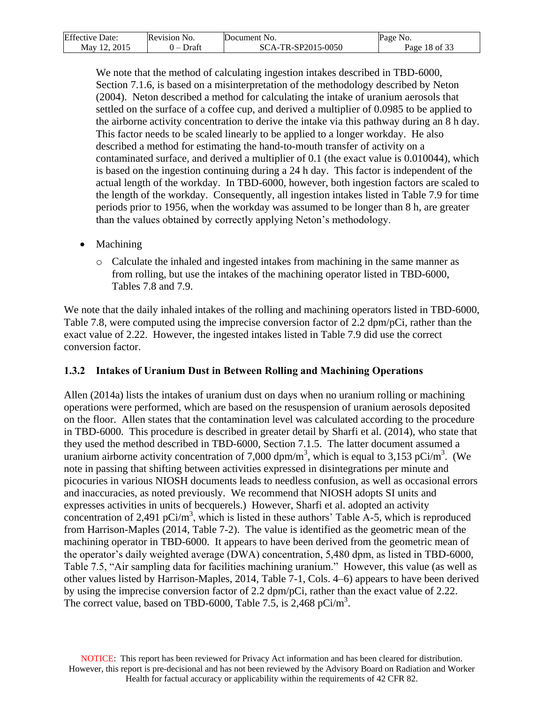| <b>Effective Date:</b>   | Revision No. | Document No.       | No.<br>Page   |
|--------------------------|--------------|--------------------|---------------|
| 2015<br>May 12 $\degree$ | Draft<br>. – | SCA-TR-SP2015-0050 | Page 18 of 33 |

We note that the method of calculating ingestion intakes described in TBD-6000, Section 7.1.6, is based on a misinterpretation of the methodology described by Neton (2004). Neton described a method for calculating the intake of uranium aerosols that settled on the surface of a coffee cup, and derived a multiplier of 0.0985 to be applied to the airborne activity concentration to derive the intake via this pathway during an 8 h day. This factor needs to be scaled linearly to be applied to a longer workday. He also described a method for estimating the hand-to-mouth transfer of activity on a contaminated surface, and derived a multiplier of 0.1 (the exact value is 0.010044), which is based on the ingestion continuing during a 24 h day. This factor is independent of the actual length of the workday. In TBD-6000, however, both ingestion factors are scaled to the length of the workday. Consequently, all ingestion intakes listed in Table 7.9 for time periods prior to 1956, when the workday was assumed to be longer than 8 h, are greater than the values obtained by correctly applying Neton's methodology.

- Machining
	- o Calculate the inhaled and ingested intakes from machining in the same manner as from rolling, but use the intakes of the machining operator listed in TBD-6000, Tables 7.8 and 7.9.

We note that the daily inhaled intakes of the rolling and machining operators listed in TBD-6000, Table 7.8, were computed using the imprecise conversion factor of 2.2 dpm/pCi, rather than the exact value of 2.22. However, the ingested intakes listed in Table 7.9 did use the correct conversion factor.

## <span id="page-17-0"></span>**1.3.2 Intakes of Uranium Dust in Between Rolling and Machining Operations**

Allen (2014a) lists the intakes of uranium dust on days when no uranium rolling or machining operations were performed, which are based on the resuspension of uranium aerosols deposited on the floor. Allen states that the contamination level was calculated according to the procedure in TBD-6000. This procedure is described in greater detail by Sharfi et al. (2014), who state that they used the method described in TBD-6000, Section 7.1.5. The latter document assumed a uranium airborne activity concentration of 7,000 dpm/m<sup>3</sup>, which is equal to 3,153 pCi/m<sup>3</sup>. (We note in passing that shifting between activities expressed in disintegrations per minute and picocuries in various NIOSH documents leads to needless confusion, as well as occasional errors and inaccuracies, as noted previously. We recommend that NIOSH adopts SI units and expresses activities in units of becquerels.) However, Sharfi et al. adopted an activity concentration of 2,491 pCi/m<sup>3</sup>, which is listed in these authors' Table A-5, which is reproduced from Harrison-Maples (2014, Table 7-2). The value is identified as the geometric mean of the machining operator in TBD-6000. It appears to have been derived from the geometric mean of the operator's daily weighted average (DWA) concentration, 5,480 dpm, as listed in TBD-6000, Table 7.5, "Air sampling data for facilities machining uranium." However, this value (as well as other values listed by Harrison-Maples, 2014, Table 7-1, Cols. 4–6) appears to have been derived by using the imprecise conversion factor of 2.2 dpm/pCi, rather than the exact value of 2.22. The correct value, based on TBD-6000, Table 7.5, is  $2,468$  pCi/m<sup>3</sup>.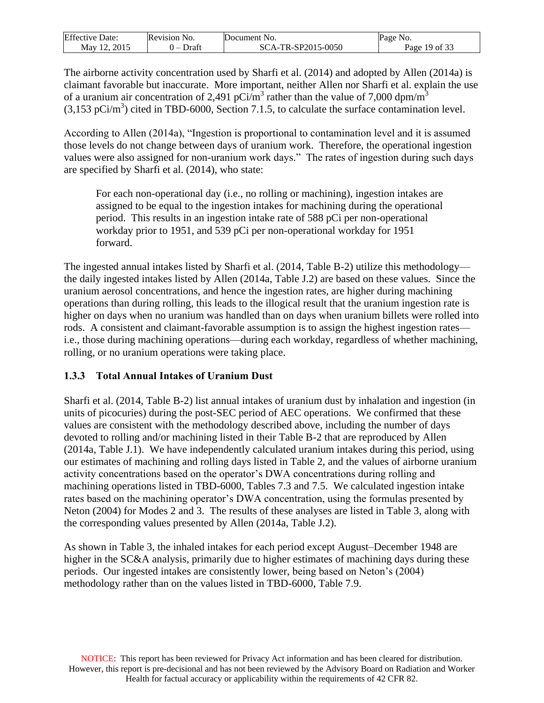| Effective | evision'                          | Jocument              | NO.                        |
|-----------|-----------------------------------|-----------------------|----------------------------|
| Date:     | NO.                               | NO.                   | ه <i>م</i> ه               |
| May       | Jraft<br>$\overline{\phantom{a}}$ | 7R-SP2015-0050<br>'Δ_ | $c \wedge$<br>Page<br>- OT |

The airborne activity concentration used by Sharfi et al. (2014) and adopted by Allen (2014a) is claimant favorable but inaccurate. More important, neither Allen nor Sharfi et al. explain the use of a uranium air concentration of 2,491 pCi/m<sup>3</sup> rather than the value of 7,000 dpm/m<sup>3</sup>  $(3,153 \text{ pCi/m}^3)$  cited in TBD-6000, Section 7.1.5, to calculate the surface contamination level.

According to Allen (2014a), "Ingestion is proportional to contamination level and it is assumed those levels do not change between days of uranium work. Therefore, the operational ingestion values were also assigned for non-uranium work days." The rates of ingestion during such days are specified by Sharfi et al. (2014), who state:

For each non-operational day (i.e., no rolling or machining), ingestion intakes are assigned to be equal to the ingestion intakes for machining during the operational period. This results in an ingestion intake rate of 588 pCi per non-operational workday prior to 1951, and 539 pCi per non-operational workday for 1951 forward.

The ingested annual intakes listed by Sharfi et al. (2014, Table B-2) utilize this methodology the daily ingested intakes listed by Allen (2014a, Table J.2) are based on these values. Since the uranium aerosol concentrations, and hence the ingestion rates, are higher during machining operations than during rolling, this leads to the illogical result that the uranium ingestion rate is higher on days when no uranium was handled than on days when uranium billets were rolled into rods. A consistent and claimant-favorable assumption is to assign the highest ingestion rates i.e., those during machining operations—during each workday, regardless of whether machining, rolling, or no uranium operations were taking place.

# <span id="page-18-0"></span>**1.3.3 Total Annual Intakes of Uranium Dust**

Sharfi et al. (2014, Table B-2) list annual intakes of uranium dust by inhalation and ingestion (in units of picocuries) during the post-SEC period of AEC operations. We confirmed that these values are consistent with the methodology described above, including the number of days devoted to rolling and/or machining listed in their Table B-2 that are reproduced by Allen (2014a, Table J.1). We have independently calculated uranium intakes during this period, using our estimates of machining and rolling days listed in Table 2, and the values of airborne uranium activity concentrations based on the operator's DWA concentrations during rolling and machining operations listed in TBD-6000, Tables 7.3 and 7.5. We calculated ingestion intake rates based on the machining operator's DWA concentration, using the formulas presented by Neton (2004) for Modes 2 and 3. The results of these analyses are listed in Table 3, along with the corresponding values presented by Allen (2014a, Table J.2).

As shown in Table 3, the inhaled intakes for each period except August–December 1948 are higher in the SC&A analysis, primarily due to higher estimates of machining days during these periods. Our ingested intakes are consistently lower, being based on Neton's (2004) methodology rather than on the values listed in TBD-6000, Table 7.9.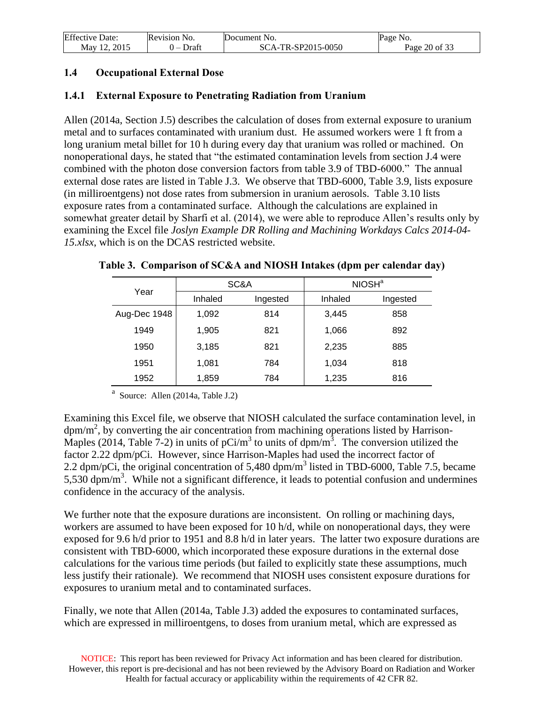| <b>Effective Date:</b> | <b>Revision No.</b> | Document No.       | Page No.      |
|------------------------|---------------------|--------------------|---------------|
| Mav 12. 2015           | Draft               | SCA-TR-SP2015-0050 | Page 20 of 33 |

## <span id="page-19-0"></span>**1.4 Occupational External Dose**

## <span id="page-19-1"></span>**1.4.1 External Exposure to Penetrating Radiation from Uranium**

Allen (2014a, Section J.5) describes the calculation of doses from external exposure to uranium metal and to surfaces contaminated with uranium dust. He assumed workers were 1 ft from a long uranium metal billet for 10 h during every day that uranium was rolled or machined. On nonoperational days, he stated that "the estimated contamination levels from section J.4 were combined with the photon dose conversion factors from table 3.9 of TBD-6000." The annual external dose rates are listed in Table J.3. We observe that TBD-6000, Table 3.9, lists exposure (in milliroentgens) not dose rates from submersion in uranium aerosols. Table 3.10 lists exposure rates from a contaminated surface. Although the calculations are explained in somewhat greater detail by Sharfi et al. (2014), we were able to reproduce Allen's results only by examining the Excel file *Joslyn Example DR Rolling and Machining Workdays Calcs 2014-04- 15.xlsx*, which is on the DCAS restricted website.

|              | SC&A    |          | NIOSH <sup>a</sup> |          |
|--------------|---------|----------|--------------------|----------|
| Year         | Inhaled | Ingested | Inhaled            | Ingested |
| Aug-Dec 1948 | 1,092   | 814      | 3,445              | 858      |
| 1949         | 1,905   | 821      | 1,066              | 892      |
| 1950         | 3,185   | 821      | 2,235              | 885      |
| 1951         | 1,081   | 784      | 1,034              | 818      |
| 1952         | 1,859   | 784      | 1,235              | 816      |

#### <span id="page-19-2"></span>**Table 3. Comparison of SC&A and NIOSH Intakes (dpm per calendar day)**

 $a$  Source: Allen (2014a, Table J.2)

Examining this Excel file, we observe that NIOSH calculated the surface contamination level, in  $dpm/m<sup>2</sup>$ , by converting the air concentration from machining operations listed by Harrison-Maples (2014, Table 7-2) in units of pCi/m<sup>3</sup> to units of dpm/m<sup>3</sup>. The conversion utilized the factor 2.22 dpm/pCi. However, since Harrison-Maples had used the incorrect factor of 2.2 dpm/pCi, the original concentration of 5,480 dpm/m<sup>3</sup> listed in TBD-6000, Table 7.5, became  $5,530$  dpm/m<sup>3</sup>. While not a significant difference, it leads to potential confusion and undermines confidence in the accuracy of the analysis.

We further note that the exposure durations are inconsistent. On rolling or machining days, workers are assumed to have been exposed for 10 h/d, while on nonoperational days, they were exposed for 9.6 h/d prior to 1951 and 8.8 h/d in later years. The latter two exposure durations are consistent with TBD-6000, which incorporated these exposure durations in the external dose calculations for the various time periods (but failed to explicitly state these assumptions, much less justify their rationale). We recommend that NIOSH uses consistent exposure durations for exposures to uranium metal and to contaminated surfaces.

Finally, we note that Allen (2014a, Table J.3) added the exposures to contaminated surfaces, which are expressed in milliroentgens, to doses from uranium metal, which are expressed as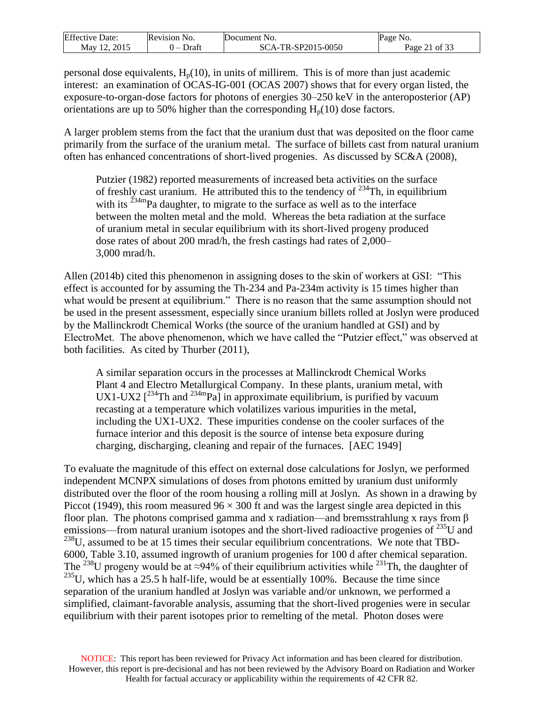| Effective   | Revision l   | Document                        | Page                     |
|-------------|--------------|---------------------------------|--------------------------|
| Date:       | NO.          | NO.                             | NO.                      |
| 2015<br>May | Draft<br>. – | -TR-SP2015-0050<br>ŠС<br>`А - ́ | $\sqrt{2}$<br>Page<br>ΩŤ |

personal dose equivalents,  $H_p(10)$ , in units of millirem. This is of more than just academic interest: an examination of OCAS-IG-001 (OCAS 2007) shows that for every organ listed, the exposure-to-organ-dose factors for photons of energies 30–250 keV in the anteroposterior (AP) orientations are up to 50% higher than the corresponding  $H_p(10)$  dose factors.

A larger problem stems from the fact that the uranium dust that was deposited on the floor came primarily from the surface of the uranium metal. The surface of billets cast from natural uranium often has enhanced concentrations of short-lived progenies. As discussed by SC&A (2008),

Putzier (1982) reported measurements of increased beta activities on the surface of freshly cast uranium. He attributed this to the tendency of  $^{234}$ Th, in equilibrium with its  $^{234m}$ Pa daughter, to migrate to the surface as well as to the interface between the molten metal and the mold. Whereas the beta radiation at the surface of uranium metal in secular equilibrium with its short-lived progeny produced dose rates of about 200 mrad/h, the fresh castings had rates of 2,000– 3,000 mrad/h.

Allen (2014b) cited this phenomenon in assigning doses to the skin of workers at GSI: "This effect is accounted for by assuming the Th-234 and Pa-234m activity is 15 times higher than what would be present at equilibrium." There is no reason that the same assumption should not be used in the present assessment, especially since uranium billets rolled at Joslyn were produced by the Mallinckrodt Chemical Works (the source of the uranium handled at GSI) and by ElectroMet. The above phenomenon, which we have called the "Putzier effect," was observed at both facilities. As cited by Thurber (2011),

A similar separation occurs in the processes at Mallinckrodt Chemical Works Plant 4 and Electro Metallurgical Company. In these plants, uranium metal, with UX1-UX2  $[^{234}$ Th and  $^{234}$ mPa] in approximate equilibrium, is purified by vacuum recasting at a temperature which volatilizes various impurities in the metal, including the UX1-UX2. These impurities condense on the cooler surfaces of the furnace interior and this deposit is the source of intense beta exposure during charging, discharging, cleaning and repair of the furnaces. [AEC 1949]

To evaluate the magnitude of this effect on external dose calculations for Joslyn, we performed independent MCNPX simulations of doses from photons emitted by uranium dust uniformly distributed over the floor of the room housing a rolling mill at Joslyn. As shown in a drawing by Piccot (1949), this room measured  $96 \times 300$  ft and was the largest single area depicted in this floor plan. The photons comprised gamma and x radiation—and bremsstrahlung x rays from β emissions—from natural uranium isotopes and the short-lived radioactive progenies of  $^{235}$ U and  $^{238}$ U, assumed to be at 15 times their secular equilibrium concentrations. We note that TBD-6000, Table 3.10, assumed ingrowth of uranium progenies for 100 d after chemical separation. The <sup>238</sup>U progeny would be at ≈94% of their equilibrium activities while <sup>231</sup>Th, the daughter of  $235$ U, which has a 25.5 h half-life, would be at essentially 100%. Because the time since separation of the uranium handled at Joslyn was variable and/or unknown, we performed a simplified, claimant-favorable analysis, assuming that the short-lived progenies were in secular equilibrium with their parent isotopes prior to remelting of the metal. Photon doses were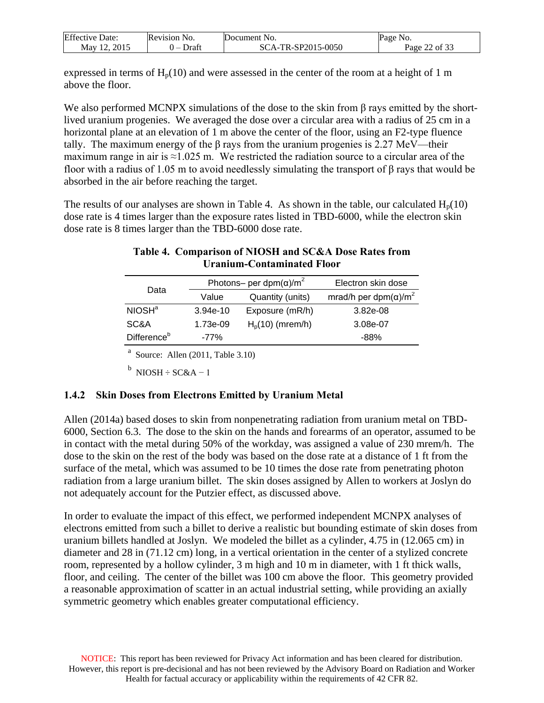| <b>Effective Date:</b> | Revision No. | Document No.       | Page No.         |
|------------------------|--------------|--------------------|------------------|
| May 12, 2015           | Draft<br>. – | SCA-TR-SP2015-0050 | 22 of 33<br>Page |

expressed in terms of  $H_p(10)$  and were assessed in the center of the room at a height of 1 m above the floor.

We also performed MCNPX simulations of the dose to the skin from  $\beta$  rays emitted by the shortlived uranium progenies. We averaged the dose over a circular area with a radius of 25 cm in a horizontal plane at an elevation of 1 m above the center of the floor, using an F2-type fluence tally. The maximum energy of the  $\beta$  rays from the uranium progenies is 2.27 MeV—their maximum range in air is  $\approx$ 1.025 m. We restricted the radiation source to a circular area of the floor with a radius of 1.05 m to avoid needlessly simulating the transport of β rays that would be absorbed in the air before reaching the target.

<span id="page-21-1"></span>The results of our analyses are shown in Table 4. As shown in the table, our calculated  $H_p(10)$ dose rate is 4 times larger than the exposure rates listed in TBD-6000, while the electron skin dose rate is 8 times larger than the TBD-6000 dose rate.

## **Table 4. Comparison of NIOSH and SC&A Dose Rates from Uranium-Contaminated Floor**

|                         |            | Photons- per dpm( $\alpha$ )/m <sup>2</sup> | Electron skin dose                        |
|-------------------------|------------|---------------------------------------------|-------------------------------------------|
| Data                    | Value      | Quantity (units)                            | mrad/h per dpm( $\alpha$ )/m <sup>2</sup> |
| NIOSH <sup>a</sup>      | $3.94e-10$ | Exposure (mR/h)                             | 3.82e-08                                  |
| SC&A                    | 1.73e-09   | $Hp(10)$ (mrem/h)                           | 3.08e-07                                  |
| Difference <sup>b</sup> | $-77%$     |                                             | -88%                                      |

<sup>a</sup> Source: Allen (2011, Table 3.10)

 $<sup>b</sup>$  NIOSH ÷ SC&A – 1</sup>

## <span id="page-21-0"></span>**1.4.2 Skin Doses from Electrons Emitted by Uranium Metal**

Allen (2014a) based doses to skin from nonpenetrating radiation from uranium metal on TBD-6000, Section 6.3. The dose to the skin on the hands and forearms of an operator, assumed to be in contact with the metal during 50% of the workday, was assigned a value of 230 mrem/h. The dose to the skin on the rest of the body was based on the dose rate at a distance of 1 ft from the surface of the metal, which was assumed to be 10 times the dose rate from penetrating photon radiation from a large uranium billet. The skin doses assigned by Allen to workers at Joslyn do not adequately account for the Putzier effect, as discussed above.

In order to evaluate the impact of this effect, we performed independent MCNPX analyses of electrons emitted from such a billet to derive a realistic but bounding estimate of skin doses from uranium billets handled at Joslyn. We modeled the billet as a cylinder, 4.75 in (12.065 cm) in diameter and 28 in (71.12 cm) long, in a vertical orientation in the center of a stylized concrete room, represented by a hollow cylinder, 3 m high and 10 m in diameter, with 1 ft thick walls, floor, and ceiling. The center of the billet was 100 cm above the floor. This geometry provided a reasonable approximation of scatter in an actual industrial setting, while providing an axially symmetric geometry which enables greater computational efficiency.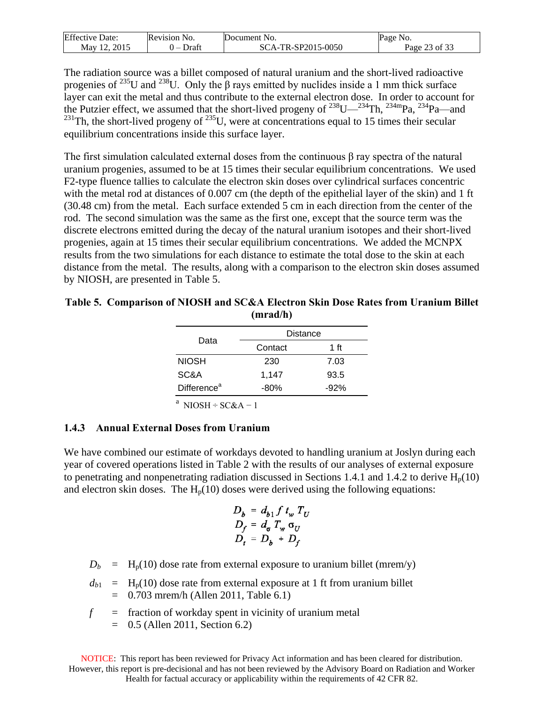| Effective   | evision)       | Document                      | Page                           |
|-------------|----------------|-------------------------------|--------------------------------|
| Jate:       | N <sub>O</sub> | N <sub>O</sub>                | NO.                            |
| 2015<br>May | Draft<br>. –   | SP2015-0050<br>SC.<br>16-71 L | $c \wedge$<br>$\Omega$<br>-age |

The radiation source was a billet composed of natural uranium and the short-lived radioactive progenies of <sup>235</sup>U and <sup>238</sup>U. Only the  $\beta$  rays emitted by nuclides inside a 1 mm thick surface layer can exit the metal and thus contribute to the external electron dose. In order to account for the Putzier effect, we assumed that the short-lived progeny of  $^{238}$ U— $^{234}$ Th,  $^{234}$ mPa,  $^{234}$ Pa—and  $^{231}$ Th, the short-lived progeny of  $^{235}$ U, were at concentrations equal to 15 times their secular equilibrium concentrations inside this surface layer.

The first simulation calculated external doses from the continuous  $\beta$  ray spectra of the natural uranium progenies, assumed to be at 15 times their secular equilibrium concentrations. We used F2-type fluence tallies to calculate the electron skin doses over cylindrical surfaces concentric with the metal rod at distances of 0.007 cm (the depth of the epithelial layer of the skin) and 1 ft (30.48 cm) from the metal. Each surface extended 5 cm in each direction from the center of the rod. The second simulation was the same as the first one, except that the source term was the discrete electrons emitted during the decay of the natural uranium isotopes and their short-lived progenies, again at 15 times their secular equilibrium concentrations. We added the MCNPX results from the two simulations for each distance to estimate the total dose to the skin at each distance from the metal. The results, along with a comparison to the electron skin doses assumed by NIOSH, are presented in Table [5.](Bookmark2#Generated)

#### <span id="page-22-1"></span>**Table 5. Comparison of NIOSH and SC&A Electron Skin Dose Rates from Uranium Billet (mrad/h)**

|                         | <b>Distance</b> |        |
|-------------------------|-----------------|--------|
| Data                    | Contact         | 1 ft   |
| <b>NIOSH</b>            | 230             | 7.03   |
| SC&A                    | 1,147           | 93.5   |
| Difference <sup>a</sup> | $-80%$          | $-92%$ |

<sup>a</sup> NIOSH ÷ SC&A – 1

## <span id="page-22-0"></span>**1.4.3 Annual External Doses from Uranium**

We have combined our estimate of workdays devoted to handling uranium at Joslyn during each year of covered operations listed in Table 2 with the results of our analyses of external exposure to penetrating and nonpenetrating radiation discussed in Sections 1.4.1 and 1.4.2 to derive  $H_p(10)$ and electron skin doses. The  $H_p(10)$  doses were derived using the following equations:

$$
D_b = d_{b1} f t_w T_U
$$
  
\n
$$
D_f = d_{\sigma} T_w \sigma_U
$$
  
\n
$$
D_t = D_b + D_f
$$

 $D_b$  = H<sub>p</sub>(10) dose rate from external exposure to uranium billet (mrem/y)

 $d_{b1}$  = H<sub>p</sub>(10) dose rate from external exposure at 1 ft from uranium billet = 0.703 mrem/h (Allen 2011, Table 6.1)

$$
f
$$
 = fraction of workday spent in vicinity of uranium metal

 $=$  0.5 (Allen 2011, Section 6.2)

NOTICE: This report has been reviewed for Privacy Act information and has been cleared for distribution. However, this report is pre-decisional and has not been reviewed by the Advisory Board on Radiation and Worker Health for factual accuracy or applicability within the requirements of 42 CFR 82.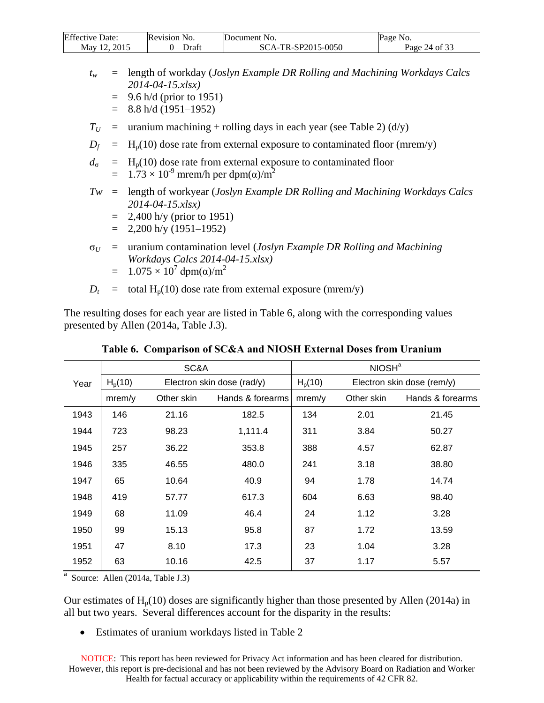| <b>Effective Date:</b> | Revision No.                      | Document No.       | Page No.      |
|------------------------|-----------------------------------|--------------------|---------------|
| Mav 12. 2015           | Draft<br>$\overline{\phantom{0}}$ | SCA-TR-SP2015-0050 | Page 24 of 33 |

- *t<sup>w</sup>* = length of workday (*Joslyn Example DR Rolling and Machining Workdays Calcs 2014-04-15.xlsx)*
	- $=$  9.6 h/d (prior to 1951)
	- $=$  8.8 h/d (1951–1952)
- $T_U$  = uranium machining + rolling days in each year (see Table 2) (d/y)
- $D_f$  = H<sub>p</sub>(10) dose rate from external exposure to contaminated floor (mrem/y)
- $d_{\sigma}$  = H<sub>p</sub>(10) dose rate from external exposure to contaminated floor  $= 1.73 \times 10^{-9}$  mrem/h per dpm( $\alpha$ )/m<sup>2</sup>
- *Tw* = length of workyear (*Joslyn Example DR Rolling and Machining Workdays Calcs 2014-04-15.xlsx)*
	- $= 2,400$  h/y (prior to 1951)
	- $=$  2,200 h/y (1951–1952)
- σ*<sup>U</sup>* = uranium contamination level (*Joslyn Example DR Rolling and Machining Workdays Calcs 2014-04-15.xlsx)*  $= 1.075 \times 10^7$  dpm(α)/m<sup>2</sup>
- $D_t$  = total H<sub>p</sub>(10) dose rate from external exposure (mrem/y)

The resulting doses for each year are listed in Table 6, along with the corresponding values presented by Allen (2014a, Table J.3).

<span id="page-23-0"></span>

|      |                     | SC&A                       |                  | NIOSH <sup>a</sup>  |            |                            |
|------|---------------------|----------------------------|------------------|---------------------|------------|----------------------------|
| Year | H <sub>p</sub> (10) | Electron skin dose (rad/y) |                  | H <sub>p</sub> (10) |            | Electron skin dose (rem/y) |
|      | mrem/y              | Other skin                 | Hands & forearms | mrem/y              | Other skin | Hands & forearms           |
| 1943 | 146                 | 21.16                      | 182.5            | 134                 | 2.01       | 21.45                      |
| 1944 | 723                 | 98.23                      | 1,111.4          | 311                 | 3.84       | 50.27                      |
| 1945 | 257                 | 36.22                      | 353.8            | 388                 | 4.57       | 62.87                      |
| 1946 | 335                 | 46.55                      | 480.0            | 241                 | 3.18       | 38.80                      |
| 1947 | 65                  | 10.64                      | 40.9             | 94                  | 1.78       | 14.74                      |
| 1948 | 419                 | 57.77                      | 617.3            | 604                 | 6.63       | 98.40                      |
| 1949 | 68                  | 11.09                      | 46.4             | 24                  | 1.12       | 3.28                       |
| 1950 | 99                  | 15.13                      | 95.8             | 87                  | 1.72       | 13.59                      |
| 1951 | 47                  | 8.10                       | 17.3             | 23                  | 1.04       | 3.28                       |
| 1952 | 63                  | 10.16                      | 42.5             | 37                  | 1.17       | 5.57                       |

**Table 6. Comparison of SC&A and NIOSH External Doses from Uranium**

<sup>a</sup> Source: Allen (2014a, Table J.3)

Our estimates of  $H_p(10)$  doses are significantly higher than those presented by Allen (2014a) in all but two years. Several differences account for the disparity in the results:

Estimates of uranium workdays listed in Table 2

NOTICE: This report has been reviewed for Privacy Act information and has been cleared for distribution. However, this report is pre-decisional and has not been reviewed by the Advisory Board on Radiation and Worker Health for factual accuracy or applicability within the requirements of 42 CFR 82.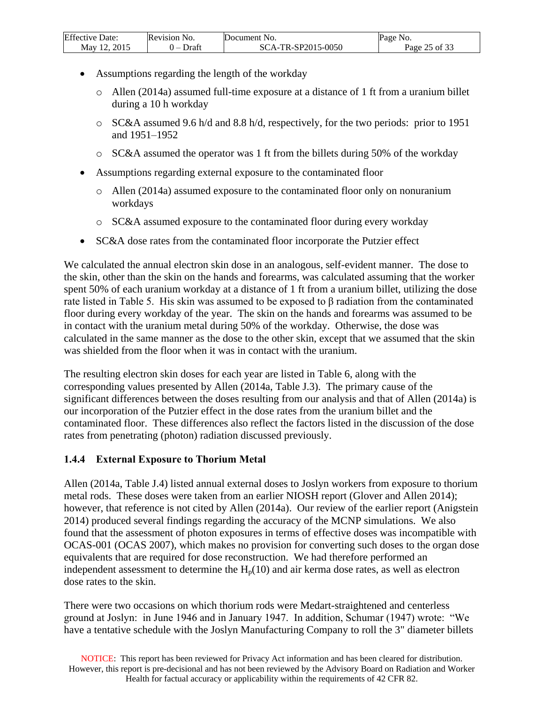| <b>Effective Date:</b> | Revision No. | Document No.       | Page<br>No. |
|------------------------|--------------|--------------------|-------------|
| 2015                   | Draft        | SCA-TR-SP2015-0050 | 25 of 33    |
| May 12 $\degree$       | . –          |                    | Page        |

- Assumptions regarding the length of the workday
	- o Allen (2014a) assumed full-time exposure at a distance of 1 ft from a uranium billet during a 10 h workday
	- $\circ$  SC&A assumed 9.6 h/d and 8.8 h/d, respectively, for the two periods: prior to 1951 and 1951–1952
	- o SC&A assumed the operator was 1 ft from the billets during 50% of the workday
- Assumptions regarding external exposure to the contaminated floor
	- $\circ$  Allen (2014a) assumed exposure to the contaminated floor only on nonuranium workdays
	- o SC&A assumed exposure to the contaminated floor during every workday
- SC&A dose rates from the contaminated floor incorporate the Putzier effect

We calculated the annual electron skin dose in an analogous, self-evident manner. The dose to the skin, other than the skin on the hands and forearms, was calculated assuming that the worker spent 50% of each uranium workday at a distance of 1 ft from a uranium billet, utilizing the dose rate listed in Table 5. His skin was assumed to be exposed to β radiation from the contaminated floor during every workday of the year. The skin on the hands and forearms was assumed to be in contact with the uranium metal during 50% of the workday. Otherwise, the dose was calculated in the same manner as the dose to the other skin, except that we assumed that the skin was shielded from the floor when it was in contact with the uranium.

The resulting electron skin doses for each year are listed in Table 6, along with the corresponding values presented by Allen (2014a, Table J.3). The primary cause of the significant differences between the doses resulting from our analysis and that of Allen (2014a) is our incorporation of the Putzier effect in the dose rates from the uranium billet and the contaminated floor. These differences also reflect the factors listed in the discussion of the dose rates from penetrating (photon) radiation discussed previously.

# <span id="page-24-0"></span>**1.4.4 External Exposure to Thorium Metal**

Allen (2014a, Table J.4) listed annual external doses to Joslyn workers from exposure to thorium metal rods. These doses were taken from an earlier NIOSH report (Glover and Allen 2014); however, that reference is not cited by Allen (2014a). Our review of the earlier report (Anigstein 2014) produced several findings regarding the accuracy of the MCNP simulations. We also found that the assessment of photon exposures in terms of effective doses was incompatible with OCAS-001 (OCAS 2007), which makes no provision for converting such doses to the organ dose equivalents that are required for dose reconstruction. We had therefore performed an independent assessment to determine the  $H_p(10)$  and air kerma dose rates, as well as electron dose rates to the skin.

There were two occasions on which thorium rods were Medart-straightened and centerless ground at Joslyn: in June 1946 and in January 1947. In addition, Schumar (1947) wrote: "We have a tentative schedule with the Joslyn Manufacturing Company to roll the 3" diameter billets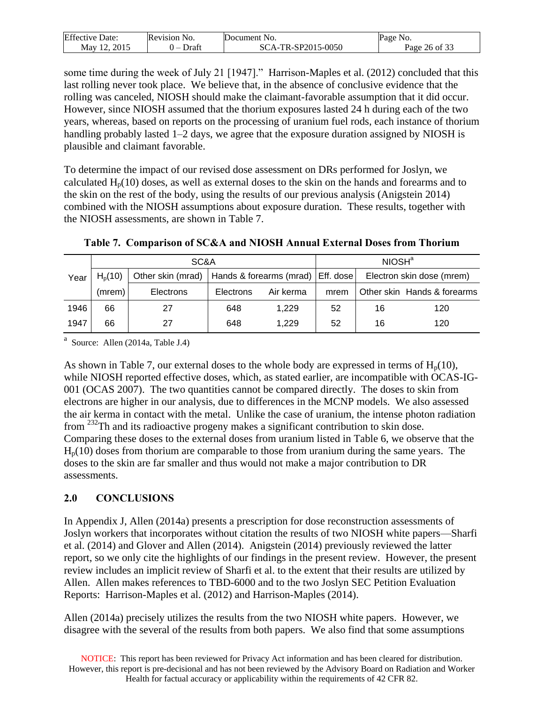| Effective   | Revision           | Document                        | NO.                      |
|-------------|--------------------|---------------------------------|--------------------------|
| Date:       | NO.                | N <sub>O</sub>                  | Page                     |
| 2015<br>May | <b>r</b> att<br>__ | SP2015-0050<br>Ń.<br>$\Delta$ - | $c \wedge$<br>Ωt<br>Page |

some time during the week of July 21 [1947]." Harrison-Maples et al. (2012) concluded that this last rolling never took place. We believe that, in the absence of conclusive evidence that the rolling was canceled, NIOSH should make the claimant-favorable assumption that it did occur. However, since NIOSH assumed that the thorium exposures lasted 24 h during each of the two years, whereas, based on reports on the processing of uranium fuel rods, each instance of thorium handling probably lasted 1–2 days, we agree that the exposure duration assigned by NIOSH is plausible and claimant favorable.

To determine the impact of our revised dose assessment on DRs performed for Joslyn, we calculated  $H_p(10)$  doses, as well as external doses to the skin on the hands and forearms and to the skin on the rest of the body, using the results of our previous analysis (Anigstein 2014) combined with the NIOSH assumptions about exposure duration. These results, together with the NIOSH assessments, are shown in Table 7.

<span id="page-25-1"></span>

|      |             | SC&A              |           | NIOSH <sup>a</sup>                  |      |    |                             |
|------|-------------|-------------------|-----------|-------------------------------------|------|----|-----------------------------|
| Year | $H_{p}(10)$ | Other skin (mrad) |           | Hands & forearms (mrad)   Eff. dose |      |    | Electron skin dose (mrem)   |
|      | (mrem)      | <b>Electrons</b>  | Electrons | Air kerma                           | mrem |    | Other skin Hands & forearms |
| 1946 | 66          | 27                | 648       | 1,229                               | 52   | 16 | 120                         |
| 1947 | 66          | 27                | 648       | 1.229                               | 52   | 16 | 120                         |

**Table 7. Comparison of SC&A and NIOSH Annual External Doses from Thorium**

<sup>a</sup> Source: Allen (2014a, Table J.4)

As shown in Table 7, our external doses to the whole body are expressed in terms of  $H_p(10)$ , while NIOSH reported effective doses, which, as stated earlier, are incompatible with OCAS-IG-001 (OCAS 2007). The two quantities cannot be compared directly. The doses to skin from electrons are higher in our analysis, due to differences in the MCNP models. We also assessed the air kerma in contact with the metal. Unlike the case of uranium, the intense photon radiation from <sup>232</sup>Th and its radioactive progeny makes a significant contribution to skin dose. Comparing these doses to the external doses from uranium listed in Table 6, we observe that the  $H<sub>p</sub>(10)$  doses from thorium are comparable to those from uranium during the same years. The doses to the skin are far smaller and thus would not make a major contribution to DR assessments.

# <span id="page-25-0"></span>**2.0 CONCLUSIONS**

In Appendix J, Allen (2014a) presents a prescription for dose reconstruction assessments of Joslyn workers that incorporates without citation the results of two NIOSH white papers—Sharfi et al. (2014) and Glover and Allen (2014). Anigstein (2014) previously reviewed the latter report, so we only cite the highlights of our findings in the present review. However, the present review includes an implicit review of Sharfi et al. to the extent that their results are utilized by Allen. Allen makes references to TBD-6000 and to the two Joslyn SEC Petition Evaluation Reports: Harrison-Maples et al. (2012) and Harrison-Maples (2014).

Allen (2014a) precisely utilizes the results from the two NIOSH white papers. However, we disagree with the several of the results from both papers. We also find that some assumptions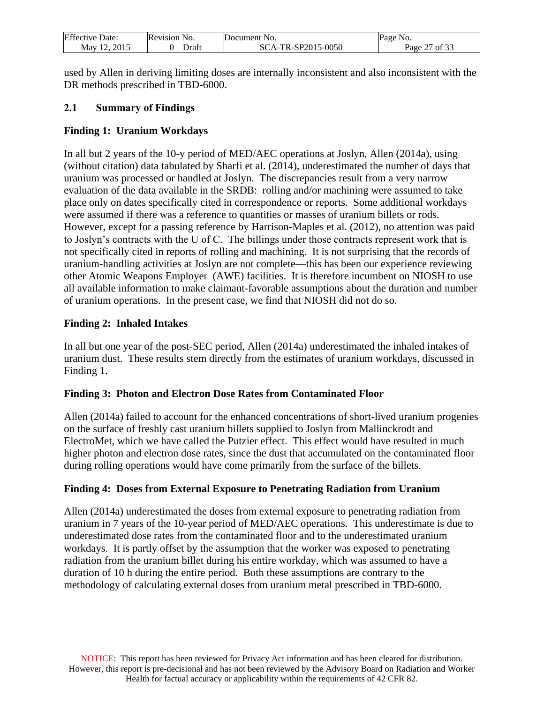| <b>Effective Date:</b> | Revision No.             | Document No.       | Page No.       |
|------------------------|--------------------------|--------------------|----------------|
| 2015                   | Draft                    | SCA-TR-SP2015-0050 | Page           |
| May 12                 | $\overline{\phantom{0}}$ |                    | $\prime$ of 3. |

used by Allen in deriving limiting doses are internally inconsistent and also inconsistent with the DR methods prescribed in TBD-6000.

## <span id="page-26-0"></span>**2.1 Summary of Findings**

## **Finding 1: Uranium Workdays**

In all but 2 years of the 10-y period of MED/AEC operations at Joslyn, Allen (2014a), using (without citation) data tabulated by Sharfi et al. (2014), underestimated the number of days that uranium was processed or handled at Joslyn. The discrepancies result from a very narrow evaluation of the data available in the SRDB: rolling and/or machining were assumed to take place only on dates specifically cited in correspondence or reports. Some additional workdays were assumed if there was a reference to quantities or masses of uranium billets or rods. However, except for a passing reference by Harrison-Maples et al. (2012), no attention was paid to Joslyn's contracts with the U of C. The billings under those contracts represent work that is not specifically cited in reports of rolling and machining. It is not surprising that the records of uranium-handling activities at Joslyn are not complete—this has been our experience reviewing other Atomic Weapons Employer (AWE) facilities. It is therefore incumbent on NIOSH to use all available information to make claimant-favorable assumptions about the duration and number of uranium operations. In the present case, we find that NIOSH did not do so.

## **Finding 2: Inhaled Intakes**

In all but one year of the post-SEC period, Allen (2014a) underestimated the inhaled intakes of uranium dust. These results stem directly from the estimates of uranium workdays, discussed in Finding 1.

## **Finding 3: Photon and Electron Dose Rates from Contaminated Floor**

Allen (2014a) failed to account for the enhanced concentrations of short-lived uranium progenies on the surface of freshly cast uranium billets supplied to Joslyn from Mallinckrodt and ElectroMet, which we have called the Putzier effect. This effect would have resulted in much higher photon and electron dose rates, since the dust that accumulated on the contaminated floor during rolling operations would have come primarily from the surface of the billets.

## **Finding 4: Doses from External Exposure to Penetrating Radiation from Uranium**

Allen (2014a) underestimated the doses from external exposure to penetrating radiation from uranium in 7 years of the 10-year period of MED/AEC operations. This underestimate is due to underestimated dose rates from the contaminated floor and to the underestimated uranium workdays. It is partly offset by the assumption that the worker was exposed to penetrating radiation from the uranium billet during his entire workday, which was assumed to have a duration of 10 h during the entire period. Both these assumptions are contrary to the methodology of calculating external doses from uranium metal prescribed in TBD-6000.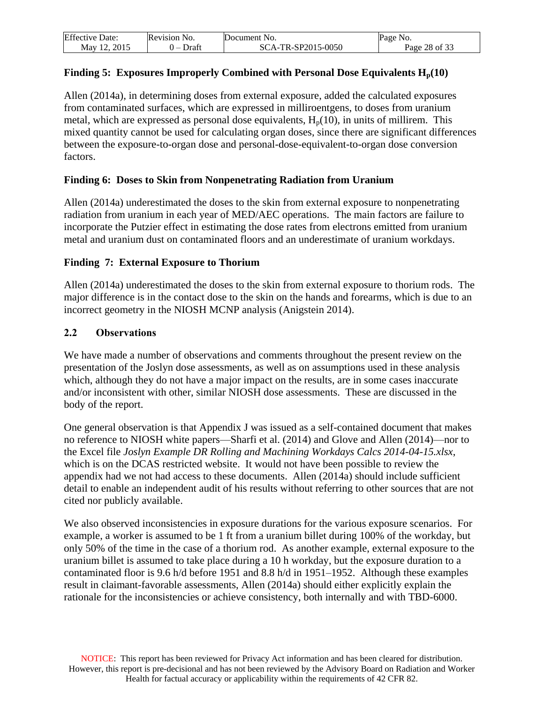| <b>Effective Date:</b> | Revision No. | Document No.       | Page No.      |
|------------------------|--------------|--------------------|---------------|
| Mav 12. 2015           | Draft        | SCA-TR-SP2015-0050 | Page 28 of 33 |

## **Finding 5: Exposures Improperly Combined with Personal Dose Equivalents Hp(10)**

Allen (2014a), in determining doses from external exposure, added the calculated exposures from contaminated surfaces, which are expressed in milliroentgens, to doses from uranium metal, which are expressed as personal dose equivalents,  $H<sub>p</sub>(10)$ , in units of millirem. This mixed quantity cannot be used for calculating organ doses, since there are significant differences between the exposure-to-organ dose and personal-dose-equivalent-to-organ dose conversion factors.

#### **Finding 6: Doses to Skin from Nonpenetrating Radiation from Uranium**

Allen (2014a) underestimated the doses to the skin from external exposure to nonpenetrating radiation from uranium in each year of MED/AEC operations. The main factors are failure to incorporate the Putzier effect in estimating the dose rates from electrons emitted from uranium metal and uranium dust on contaminated floors and an underestimate of uranium workdays.

#### **Finding 7: External Exposure to Thorium**

Allen (2014a) underestimated the doses to the skin from external exposure to thorium rods. The major difference is in the contact dose to the skin on the hands and forearms, which is due to an incorrect geometry in the NIOSH MCNP analysis (Anigstein 2014).

#### <span id="page-27-0"></span>**2.2 Observations**

We have made a number of observations and comments throughout the present review on the presentation of the Joslyn dose assessments, as well as on assumptions used in these analysis which, although they do not have a major impact on the results, are in some cases inaccurate and/or inconsistent with other, similar NIOSH dose assessments. These are discussed in the body of the report.

One general observation is that Appendix J was issued as a self-contained document that makes no reference to NIOSH white papers—Sharfi et al. (2014) and Glove and Allen (2014)—nor to the Excel file *Joslyn Example DR Rolling and Machining Workdays Calcs 2014-04-15.xlsx*, which is on the DCAS restricted website. It would not have been possible to review the appendix had we not had access to these documents. Allen (2014a) should include sufficient detail to enable an independent audit of his results without referring to other sources that are not cited nor publicly available.

We also observed inconsistencies in exposure durations for the various exposure scenarios. For example, a worker is assumed to be 1 ft from a uranium billet during 100% of the workday, but only 50% of the time in the case of a thorium rod. As another example, external exposure to the uranium billet is assumed to take place during a 10 h workday, but the exposure duration to a contaminated floor is 9.6 h/d before 1951 and 8.8 h/d in 1951–1952. Although these examples result in claimant-favorable assessments, Allen (2014a) should either explicitly explain the rationale for the inconsistencies or achieve consistency, both internally and with TBD-6000.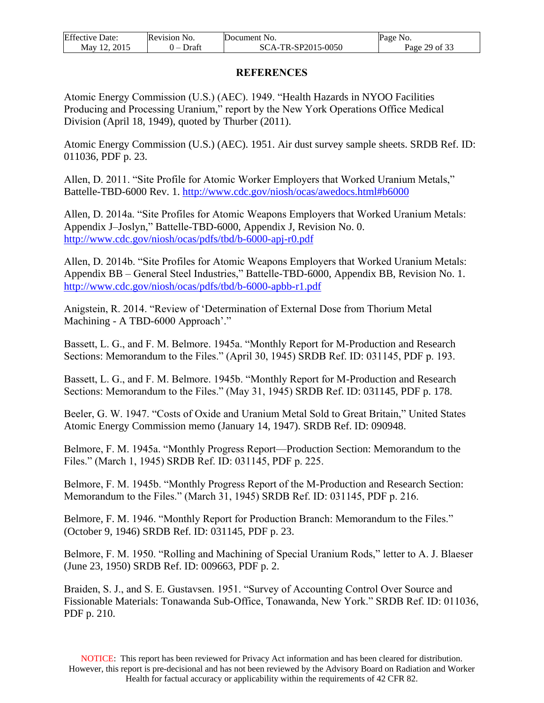| <b>Effective Date:</b> | Revision No. | Document No.       | Page No.      |
|------------------------|--------------|--------------------|---------------|
| Mav 12. 2015           | Draft<br>. – | SCA-TR-SP2015-0050 | Page 29 of 33 |

#### **REFERENCES**

<span id="page-28-0"></span>Atomic Energy Commission (U.S.) (AEC). 1949. "Health Hazards in NYOO Facilities Producing and Processing Uranium," report by the New York Operations Office Medical Division (April 18, 1949), quoted by Thurber (2011).

Atomic Energy Commission (U.S.) (AEC). 1951. Air dust survey sample sheets. SRDB Ref. ID: 011036, PDF p. 23.

Allen, D. 2011. "Site Profile for Atomic Worker Employers that Worked Uranium Metals," Battelle-TBD-6000 Rev. 1.<http://www.cdc.gov/niosh/ocas/awedocs.html#b6000>

Allen, D. 2014a. "Site Profiles for Atomic Weapons Employers that Worked Uranium Metals: Appendix J–Joslyn," Battelle-TBD-6000, Appendix J, Revision No. 0. <http://www.cdc.gov/niosh/ocas/pdfs/tbd/b-6000-apj-r0.pdf>

Allen, D. 2014b. "Site Profiles for Atomic Weapons Employers that Worked Uranium Metals: Appendix BB – General Steel Industries," Battelle-TBD-6000, Appendix BB, Revision No. 1. <http://www.cdc.gov/niosh/ocas/pdfs/tbd/b-6000-apbb-r1.pdf>

Anigstein, R. 2014. "Review of 'Determination of External Dose from Thorium Metal Machining - A TBD-6000 Approach'."

Bassett, L. G., and F. M. Belmore. 1945a. "Monthly Report for M-Production and Research Sections: Memorandum to the Files." (April 30, 1945) SRDB Ref. ID: 031145, PDF p. 193.

Bassett, L. G., and F. M. Belmore. 1945b. "Monthly Report for M-Production and Research Sections: Memorandum to the Files." (May 31, 1945) SRDB Ref. ID: 031145, PDF p. 178.

Beeler, G. W. 1947. "Costs of Oxide and Uranium Metal Sold to Great Britain," United States Atomic Energy Commission memo (January 14, 1947). SRDB Ref. ID: 090948.

Belmore, F. M. 1945a. "Monthly Progress Report—Production Section: Memorandum to the Files." (March 1, 1945) SRDB Ref. ID: 031145, PDF p. 225.

Belmore, F. M. 1945b. "Monthly Progress Report of the M-Production and Research Section: Memorandum to the Files." (March 31, 1945) SRDB Ref. ID: 031145, PDF p. 216.

Belmore, F. M. 1946. "Monthly Report for Production Branch: Memorandum to the Files." (October 9, 1946) SRDB Ref. ID: 031145, PDF p. 23.

Belmore, F. M. 1950. "Rolling and Machining of Special Uranium Rods," letter to A. J. Blaeser (June 23, 1950) SRDB Ref. ID: 009663, PDF p. 2.

Braiden, S. J., and S. E. Gustavsen. 1951. "Survey of Accounting Control Over Source and Fissionable Materials: Tonawanda Sub-Office, Tonawanda, New York." SRDB Ref. ID: 011036, PDF p. 210.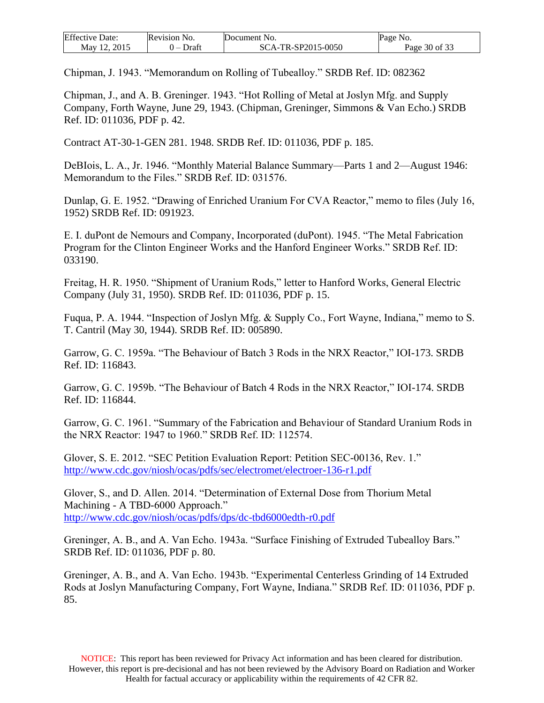| <b>Effective Date:</b> | Revision No. | Document No.       | Page No.      |
|------------------------|--------------|--------------------|---------------|
| 2015<br>May 12         | Draft        | SCA-TR-SP2015-0050 | Page 30 of 33 |

Chipman, J. 1943. "Memorandum on Rolling of Tubealloy." SRDB Ref. ID: 082362

Chipman, J., and A. B. Greninger. 1943. "Hot Rolling of Metal at Joslyn Mfg. and Supply Company, Forth Wayne, June 29, 1943. (Chipman, Greninger, Simmons & Van Echo.) SRDB Ref. ID: 011036, PDF p. 42.

Contract AT-30-1-GEN 281. 1948. SRDB Ref. ID: 011036, PDF p. 185.

DeBIois, L. A., Jr. 1946. "Monthly Material Balance Summary—Parts 1 and 2—August 1946: Memorandum to the Files." SRDB Ref. ID: 031576.

Dunlap, G. E. 1952. "Drawing of Enriched Uranium For CVA Reactor," memo to files (July 16, 1952) SRDB Ref. ID: 091923.

E. I. duPont de Nemours and Company, Incorporated (duPont). 1945. "The Metal Fabrication Program for the Clinton Engineer Works and the Hanford Engineer Works." SRDB Ref. ID: 033190.

Freitag, H. R. 1950. "Shipment of Uranium Rods," letter to Hanford Works, General Electric Company (July 31, 1950). SRDB Ref. ID: 011036, PDF p. 15.

Fuqua, P. A. 1944. "Inspection of Joslyn Mfg. & Supply Co., Fort Wayne, Indiana," memo to S. T. Cantril (May 30, 1944). SRDB Ref. ID: 005890.

Garrow, G. C. 1959a. "The Behaviour of Batch 3 Rods in the NRX Reactor," IOI-173. SRDB Ref. ID: 116843.

Garrow, G. C. 1959b. "The Behaviour of Batch 4 Rods in the NRX Reactor," IOI-174. SRDB Ref. ID: 116844.

Garrow, G. C. 1961. "Summary of the Fabrication and Behaviour of Standard Uranium Rods in the NRX Reactor: 1947 to 1960." SRDB Ref. ID: 112574.

Glover, S. E. 2012. "SEC Petition Evaluation Report: Petition SEC-00136, Rev. 1." <http://www.cdc.gov/niosh/ocas/pdfs/sec/electromet/electroer-136-r1.pdf>

Glover, S., and D. Allen. 2014. "Determination of External Dose from Thorium Metal Machining - A TBD-6000 Approach." <http://www.cdc.gov/niosh/ocas/pdfs/dps/dc-tbd6000edth-r0.pdf>

Greninger, A. B., and A. Van Echo. 1943a. "Surface Finishing of Extruded Tubealloy Bars." SRDB Ref. ID: 011036, PDF p. 80.

Greninger, A. B., and A. Van Echo. 1943b. "Experimental Centerless Grinding of 14 Extruded Rods at Joslyn Manufacturing Company, Fort Wayne, Indiana." SRDB Ref. ID: 011036, PDF p. 85.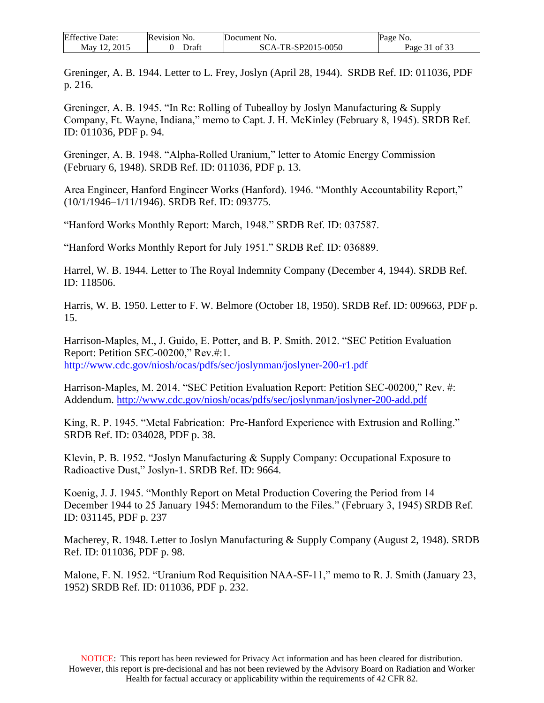| <b>Effective Date:</b> | Revision No. | Document No.       | Page No.      |
|------------------------|--------------|--------------------|---------------|
| May 12, 2015           | Draft        | SCA-TR-SP2015-0050 | Page 31 of 33 |

Greninger, A. B. 1944. Letter to L. Frey, Joslyn (April 28, 1944). SRDB Ref. ID: 011036, PDF p. 216.

Greninger, A. B. 1945. "In Re: Rolling of Tubealloy by Joslyn Manufacturing & Supply Company, Ft. Wayne, Indiana," memo to Capt. J. H. McKinley (February 8, 1945). SRDB Ref. ID: 011036, PDF p. 94.

Greninger, A. B. 1948. "Alpha-Rolled Uranium," letter to Atomic Energy Commission (February 6, 1948). SRDB Ref. ID: 011036, PDF p. 13.

Area Engineer, Hanford Engineer Works (Hanford). 1946. "Monthly Accountability Report," (10/1/1946–1/11/1946). SRDB Ref. ID: 093775.

"Hanford Works Monthly Report: March, 1948." SRDB Ref. ID: 037587.

"Hanford Works Monthly Report for July 1951." SRDB Ref. ID: 036889.

Harrel, W. B. 1944. Letter to The Royal Indemnity Company (December 4, 1944). SRDB Ref. ID: 118506.

Harris, W. B. 1950. Letter to F. W. Belmore (October 18, 1950). SRDB Ref. ID: 009663, PDF p. 15.

Harrison-Maples, M., J. Guido, E. Potter, and B. P. Smith. 2012. "SEC Petition Evaluation Report: Petition SEC-00200," Rev.#:1. <http://www.cdc.gov/niosh/ocas/pdfs/sec/joslynman/joslyner-200-r1.pdf>

Harrison-Maples, M. 2014. "SEC Petition Evaluation Report: Petition SEC-00200," Rev. #: Addendum.<http://www.cdc.gov/niosh/ocas/pdfs/sec/joslynman/joslyner-200-add.pdf>

King, R. P. 1945. "Metal Fabrication: Pre-Hanford Experience with Extrusion and Rolling." SRDB Ref. ID: 034028, PDF p. 38.

Klevin, P. B. 1952. "Joslyn Manufacturing & Supply Company: Occupational Exposure to Radioactive Dust," Joslyn-1. SRDB Ref. ID: 9664.

Koenig, J. J. 1945. "Monthly Report on Metal Production Covering the Period from 14 December 1944 to 25 January 1945: Memorandum to the Files." (February 3, 1945) SRDB Ref. ID: 031145, PDF p. 237

Macherey, R. 1948. Letter to Joslyn Manufacturing & Supply Company (August 2, 1948). SRDB Ref. ID: 011036, PDF p. 98.

Malone, F. N. 1952. "Uranium Rod Requisition NAA-SF-11," memo to R. J. Smith (January 23, 1952) SRDB Ref. ID: 011036, PDF p. 232.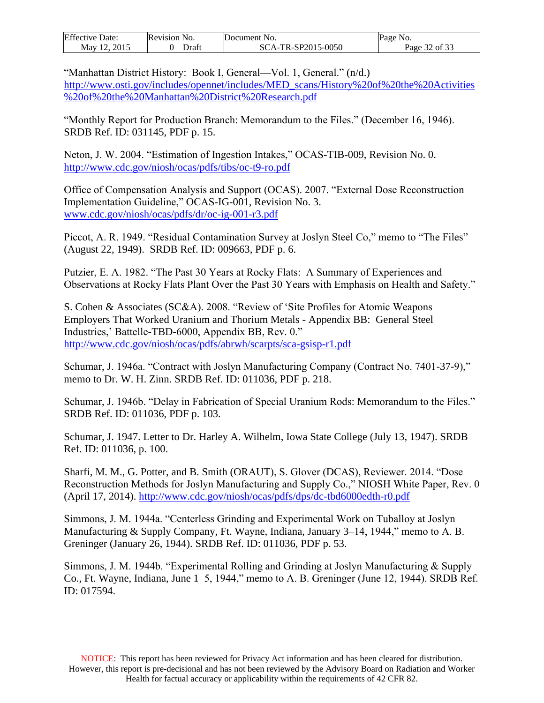| <b>Effective Date:</b>  | Revision No. | Document No.       | Page No.      |
|-------------------------|--------------|--------------------|---------------|
| 2015<br>May $1^{\circ}$ | Draft        | SCA-TR-SP2015-0050 | Page 32 of 33 |

"Manhattan District History: Book I, General—Vol. 1, General." (n/d.)

[http://www.osti.gov/includes/opennet/includes/MED\\_scans/History%20of%20the%20Activities](http://www.osti.gov/includes/opennet/includes/MED_scans/History%20of%20the%20Activities%20of%20the%20Manhattan%20District%20Res) [%20of%20the%20Manhattan%20District%20Research.pdf](http://www.osti.gov/includes/opennet/includes/MED_scans/History%20of%20the%20Activities%20of%20the%20Manhattan%20District%20Res)

"Monthly Report for Production Branch: Memorandum to the Files." (December 16, 1946). SRDB Ref. ID: 031145, PDF p. 15.

Neton, J. W. 2004. "Estimation of Ingestion Intakes," OCAS-TIB-009, Revision No. 0. <http://www.cdc.gov/niosh/ocas/pdfs/tibs/oc-t9-ro.pdf>

Office of Compensation Analysis and Support (OCAS). 2007. "External Dose Reconstruction Implementation Guideline," OCAS-IG-001, Revision No. 3. <www.cdc.gov/niosh/ocas/pdfs/dr/oc-ig-001-r3.pdf>

Piccot, A. R. 1949. "Residual Contamination Survey at Joslyn Steel Co," memo to "The Files" (August 22, 1949). SRDB Ref. ID: 009663, PDF p. 6.

Putzier, E. A. 1982. "The Past 30 Years at Rocky Flats: A Summary of Experiences and Observations at Rocky Flats Plant Over the Past 30 Years with Emphasis on Health and Safety."

S. Cohen & Associates (SC&A). 2008. "Review of 'Site Profiles for Atomic Weapons Employers That Worked Uranium and Thorium Metals - Appendix BB: General Steel Industries,' Battelle-TBD-6000, Appendix BB, Rev. 0." <http://www.cdc.gov/niosh/ocas/pdfs/abrwh/scarpts/sca-gsisp-r1.pdf>

Schumar, J. 1946a. "Contract with Joslyn Manufacturing Company (Contract No. 7401-37-9)," memo to Dr. W. H. Zinn. SRDB Ref. ID: 011036, PDF p. 218.

Schumar, J. 1946b. "Delay in Fabrication of Special Uranium Rods: Memorandum to the Files." SRDB Ref. ID: 011036, PDF p. 103.

Schumar, J. 1947. Letter to Dr. Harley A. Wilhelm, Iowa State College (July 13, 1947). SRDB Ref. ID: 011036, p. 100.

Sharfi, M. M., G. Potter, and B. Smith (ORAUT), S. Glover (DCAS), Reviewer. 2014. "Dose Reconstruction Methods for Joslyn Manufacturing and Supply Co.," NIOSH White Paper, Rev. 0 (April 17, 2014).<http://www.cdc.gov/niosh/ocas/pdfs/dps/dc-tbd6000edth-r0.pdf>

Simmons, J. M. 1944a. "Centerless Grinding and Experimental Work on Tuballoy at Joslyn Manufacturing & Supply Company, Ft. Wayne, Indiana, January 3–14, 1944," memo to A. B. Greninger (January 26, 1944). SRDB Ref. ID: 011036, PDF p. 53.

Simmons, J. M. 1944b. "Experimental Rolling and Grinding at Joslyn Manufacturing & Supply Co., Ft. Wayne, Indiana, June 1–5, 1944," memo to A. B. Greninger (June 12, 1944). SRDB Ref. ID: 017594.